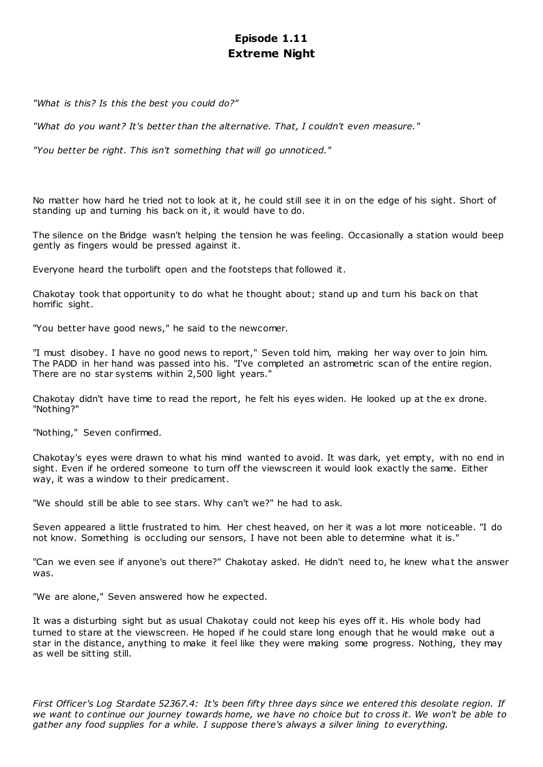# **Episode 1.11 Extreme Night**

*"What is this? Is this the best you could do?"*

*"What do you want? It's better than the alternative. That, I couldn't even measure."*

*"You better be right. This isn't something that will go unnoticed."*

No matter how hard he tried not to look at it, he could still see it in on the edge of his sight. Short of standing up and turning his back on it, it would have to do.

The silence on the Bridge wasn't helping the tension he was feeling. Occasionally a station would beep gently as fingers would be pressed against it.

Everyone heard the turbolift open and the footsteps that followed it.

Chakotay took that opportunity to do what he thought about; stand up and turn his back on that horrific sight.

"You better have good news," he said to the newcomer.

"I must disobey. I have no good news to report," Seven told him, making her way over to join him. The PADD in her hand was passed into his. "I've completed an astrometric scan of the entire region. There are no star systems within 2,500 light years."

Chakotay didn't have time to read the report, he felt his eyes widen. He looked up at the ex drone. "Nothing?"

"Nothing," Seven confirmed.

Chakotay's eyes were drawn to what his mind wanted to avoid. It was dark, yet empty, with no end in sight. Even if he ordered someone to turn off the viewscreen it would look exactly the same. Either way, it was a window to their predicament.

"We should still be able to see stars. Why can't we?" he had to ask.

Seven appeared a little frustrated to him. Her chest heaved, on her it was a lot more noticeable. "I do not know. Something is occluding our sensors, I have not been able to determine what it is."

"Can we even see if anyone's out there?" Chakotay asked. He didn't need to, he knew what the answer was.

"We are alone," Seven answered how he expected.

It was a disturbing sight but as usual Chakotay could not keep his eyes off it. His whole body had turned to stare at the viewscreen. He hoped if he could stare long enough that he would make out a star in the distance, anything to make it feel like they were making some progress. Nothing, they may as well be sitting still.

*First Officer's Log Stardate 52367.4: It's been fifty three days since we entered this desolate region. If we want to continue our journey towards home, we have no choice but to cross it. We won't be able to gather any food supplies for a while. I suppose there's always a silver lining to everything.*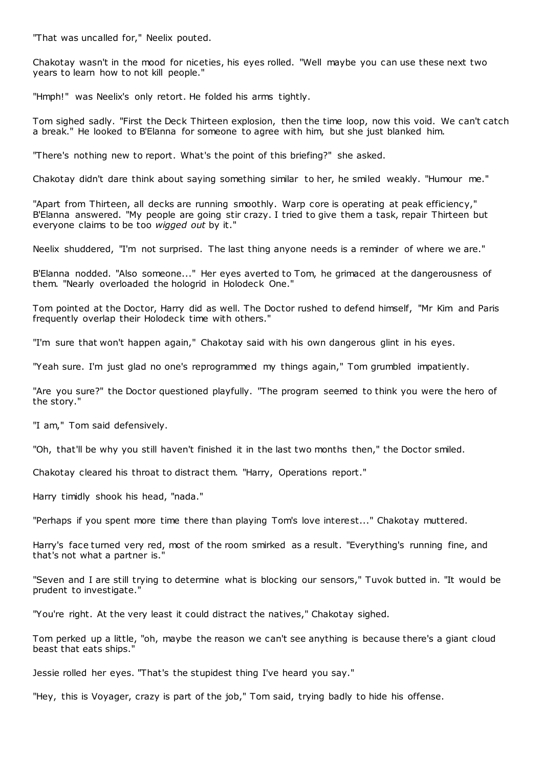"That was uncalled for," Neelix pouted.

Chakotay wasn't in the mood for niceties, his eyes rolled. "Well maybe you can use these next two years to learn how to not kill people."

"Hmph!" was Neelix's only retort. He folded his arms tightly.

Tom sighed sadly. "First the Deck Thirteen explosion, then the time loop, now this void. We can't catch a break." He looked to B'Elanna for someone to agree with him, but she just blanked him.

"There's nothing new to report. What's the point of this briefing?" she asked.

Chakotay didn't dare think about saying something similar to her, he smiled weakly. "Humour me."

"Apart from Thirteen, all decks are running smoothly. Warp core is operating at peak efficiency," B'Elanna answered. "My people are going stir crazy. I tried to give them a task, repair Thirteen but everyone claims to be too *wigged out* by it."

Neelix shuddered, "I'm not surprised. The last thing anyone needs is a reminder of where we are."

B'Elanna nodded. "Also someone..." Her eyes averted to Tom, he grimaced at the dangerousness of them. "Nearly overloaded the hologrid in Holodeck One."

Tom pointed at the Doctor, Harry did as well. The Doctor rushed to defend himself, "Mr Kim and Paris frequently overlap their Holodeck time with others."

"I'm sure that won't happen again," Chakotay said with his own dangerous glint in his eyes.

"Yeah sure. I'm just glad no one's reprogrammed my things again," Tom grumbled impatiently.

"Are you sure?" the Doctor questioned playfully. "The program seemed to think you were the hero of the story."

"I am," Tom said defensively.

"Oh, that'll be why you still haven't finished it in the last two months then," the Doctor smiled.

Chakotay cleared his throat to distract them. "Harry, Operations report."

Harry timidly shook his head, "nada."

"Perhaps if you spent more time there than playing Tom's love interest..." Chakotay muttered.

Harry's face turned very red, most of the room smirked as a result. "Everything's running fine, and that's not what a partner is."

"Seven and I are still trying to determine what is blocking our sensors," Tuvok butted in. "It would be prudent to investigate."

"You're right. At the very least it could distract the natives," Chakotay sighed.

Tom perked up a little, "oh, maybe the reason we can't see anything is because there's a giant cloud beast that eats ships."

Jessie rolled her eyes. "That's the stupidest thing I've heard you say."

"Hey, this is Voyager, crazy is part of the job," Tom said, trying badly to hide his offense.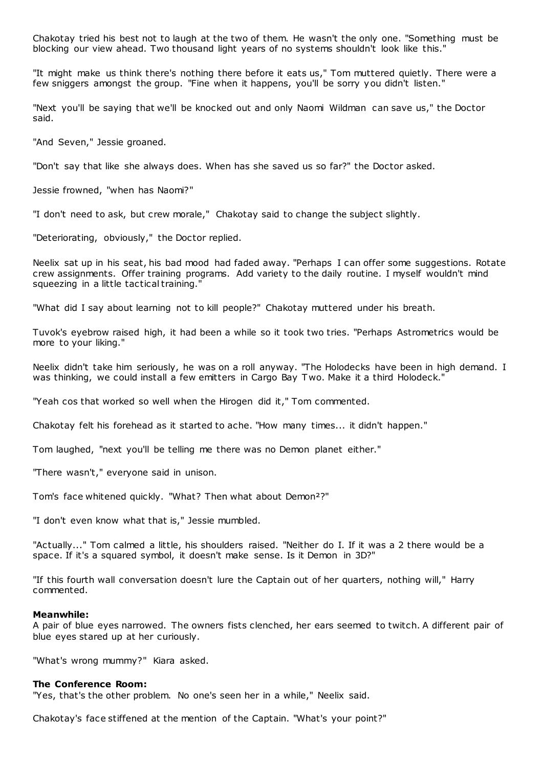Chakotay tried his best not to laugh at the two of them. He wasn't the only one. "Something must be blocking our view ahead. Two thousand light years of no systems shouldn't look like this."

"It might make us think there's nothing there before it eats us," Tom muttered quietly. There were a few sniggers amongst the group. "Fine when it happens, you'll be sorry you didn't listen."

"Next you'll be saying that we'll be knocked out and only Naomi Wildman can save us," the Doctor said.

"And Seven," Jessie groaned.

"Don't say that like she always does. When has she saved us so far?" the Doctor asked.

Jessie frowned, "when has Naomi?"

"I don't need to ask, but crew morale," Chakotay said to change the subject slightly.

"Deteriorating, obviously," the Doctor replied.

Neelix sat up in his seat, his bad mood had faded away. "Perhaps I can offer some suggestions. Rotate crew assignments. Offer training programs. Add variety to the daily routine. I myself wouldn't mind squeezing in a little tactical training."

"What did I say about learning not to kill people?" Chakotay muttered under his breath.

Tuvok's eyebrow raised high, it had been a while so it took two tries. "Perhaps Astrometrics would be more to your liking."

Neelix didn't take him seriously, he was on a roll anyway. "The Holodecks have been in high demand. I was thinking, we could install a few emitters in Cargo Bay T wo. Make it a third Holodeck."

"Yeah cos that worked so well when the Hirogen did it," Tom commented.

Chakotay felt his forehead as it started to ache. "How many times... it didn't happen."

Tom laughed, "next you'll be telling me there was no Demon planet either."

"There wasn't," everyone said in unison.

Tom's face whitened quickly. "What? Then what about Demon²?"

"I don't even know what that is," Jessie mumbled.

"Actually..." Tom calmed a little, his shoulders raised. "Neither do I. If it was a 2 there would be a space. If it's a squared symbol, it doesn't make sense. Is it Demon in 3D?"

"If this fourth wall conversation doesn't lure the Captain out of her quarters, nothing will," Harry commented.

# **Meanwhile:**

A pair of blue eyes narrowed. The owners fists clenched, her ears seemed to twitch. A different pair of blue eyes stared up at her curiously.

"What's wrong mummy?" Kiara asked.

## **The Conference Room:**

"Yes, that's the other problem. No one's seen her in a while," Neelix said.

Chakotay's face stiffened at the mention of the Captain. "What's your point?"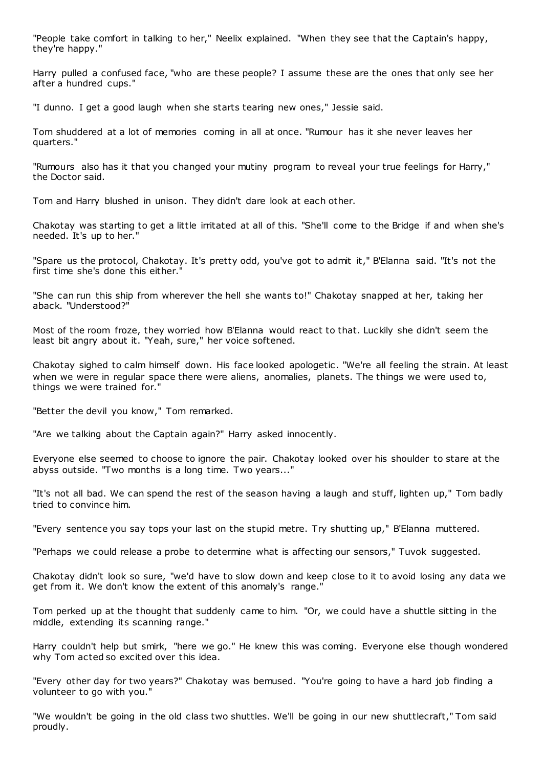"People take comfort in talking to her," Neelix explained. "When they see that the Captain's happy, they're happy."

Harry pulled a confused face, "who are these people? I assume these are the ones that only see her after a hundred cups."

"I dunno. I get a good laugh when she starts tearing new ones," Jessie said.

Tom shuddered at a lot of memories coming in all at once. "Rumour has it she never leaves her quarters."

"Rumours also has it that you changed your mutiny program to reveal your true feelings for Harry," the Doctor said.

Tom and Harry blushed in unison. They didn't dare look at each other.

Chakotay was starting to get a little irritated at all of this. "She'll come to the Bridge if and when she's needed. It's up to her."

"Spare us the protocol, Chakotay. It's pretty odd, you've got to admit it," B'Elanna said. "It's not the first time she's done this either."

"She can run this ship from wherever the hell she wants to!" Chakotay snapped at her, taking her aback. "Understood?"

Most of the room froze, they worried how B'Elanna would react to that. Luckily she didn't seem the least bit angry about it. "Yeah, sure," her voice softened.

Chakotay sighed to calm himself down. His face looked apologetic . "We're all feeling the strain. At least when we were in regular space there were aliens, anomalies, planets. The things we were used to, things we were trained for."

"Better the devil you know," Tom remarked.

"Are we talking about the Captain again?" Harry asked innocently.

Everyone else seemed to choose to ignore the pair. Chakotay looked over his shoulder to stare at the abyss outside. "Two months is a long time. Two years..."

"It's not all bad. We can spend the rest of the season having a laugh and stuff, lighten up," Tom badly tried to convince him.

"Every sentence you say tops your last on the stupid metre. Try shutting up," B'Elanna muttered.

"Perhaps we could release a probe to determine what is affecting our sensors," Tuvok suggested.

Chakotay didn't look so sure, "we'd have to slow down and keep close to it to avoid losing any data we get from it. We don't know the extent of this anomaly's range."

Tom perked up at the thought that suddenly came to him. "Or, we could have a shuttle sitting in the middle, extending its scanning range."

Harry couldn't help but smirk, "here we go." He knew this was coming. Everyone else though wondered why Tom acted so excited over this idea.

"Every other day for two years?" Chakotay was bemused. "You're going to have a hard job finding a volunteer to go with you."

"We wouldn't be going in the old class two shuttles. We'll be going in our new shuttlecraft," Tom said proudly.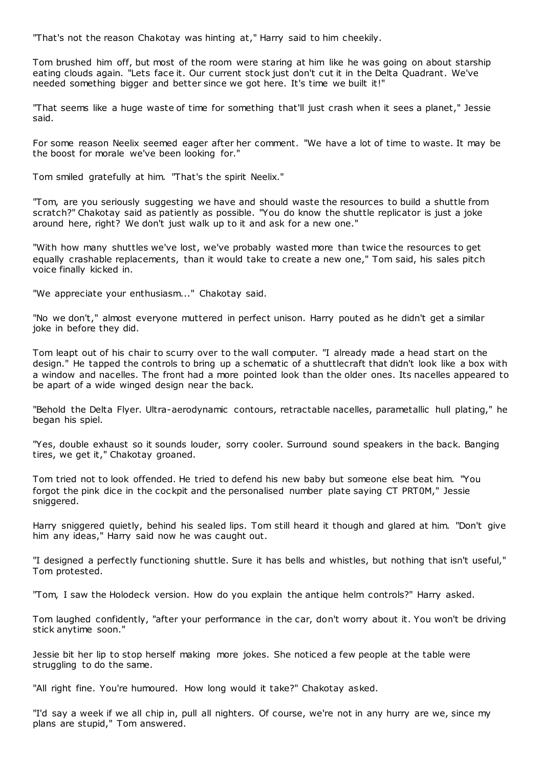"That's not the reason Chakotay was hinting at," Harry said to him cheekily.

Tom brushed him off, but most of the room were staring at him like he was going on about starship eating clouds again. "Lets face it. Our current stock just don't cut it in the Delta Quadrant. We've needed something bigger and better since we got here. It's time we built it!"

"That seems like a huge waste of time for something that'll just crash when it sees a planet," Jessie said.

For some reason Neelix seemed eager after her comment. "We have a lot of time to waste. It may be the boost for morale we've been looking for."

Tom smiled gratefully at him. "That's the spirit Neelix."

"Tom, are you seriously suggesting we have and should waste the resources to build a shuttle from scratch?" Chakotay said as patiently as possible. "You do know the shuttle replicator is just a joke around here, right? We don't just walk up to it and ask for a new one."

"With how many shuttles we've lost, we've probably wasted more than twice the resources to get equally crashable replacements, than it would take to create a new one," Tom said, his sales pitch voice finally kicked in.

"We appreciate your enthusiasm..." Chakotay said.

"No we don't," almost everyone muttered in perfect unison. Harry pouted as he didn't get a similar joke in before they did.

Tom leapt out of his chair to scurry over to the wall computer. "I already made a head start on the design." He tapped the controls to bring up a schematic of a shuttlecraft that didn't look like a box with a window and nacelles. The front had a more pointed look than the older ones. Its nacelles appeared to be apart of a wide winged design near the back.

"Behold the Delta Flyer. Ultra-aerodynamic contours, retractable nacelles, parametallic hull plating," he began his spiel.

"Yes, double exhaust so it sounds louder, sorry cooler. Surround sound speakers in the back. Banging tires, we get it," Chakotay groaned.

Tom tried not to look offended. He tried to defend his new baby but someone else beat him. "You forgot the pink dice in the cockpit and the personalised number plate saying CT PRT0M," Jessie sniggered.

Harry sniggered quietly, behind his sealed lips. Tom still heard it though and glared at him. "Don't give him any ideas," Harry said now he was caught out.

"I designed a perfectly functioning shuttle. Sure it has bells and whistles, but nothing that isn't useful," Tom protested.

"Tom, I saw the Holodeck version. How do you explain the antique helm controls?" Harry asked.

Tom laughed confidently, "after your performance in the car, don't worry about it. You won't be driving stick anytime soon."

Jessie bit her lip to stop herself making more jokes. She noticed a few people at the table were struggling to do the same.

"All right fine. You're humoured. How long would it take?" Chakotay asked.

"I'd say a week if we all chip in, pull all nighters. Of course, we're not in any hurry are we, since my plans are stupid," Tom answered.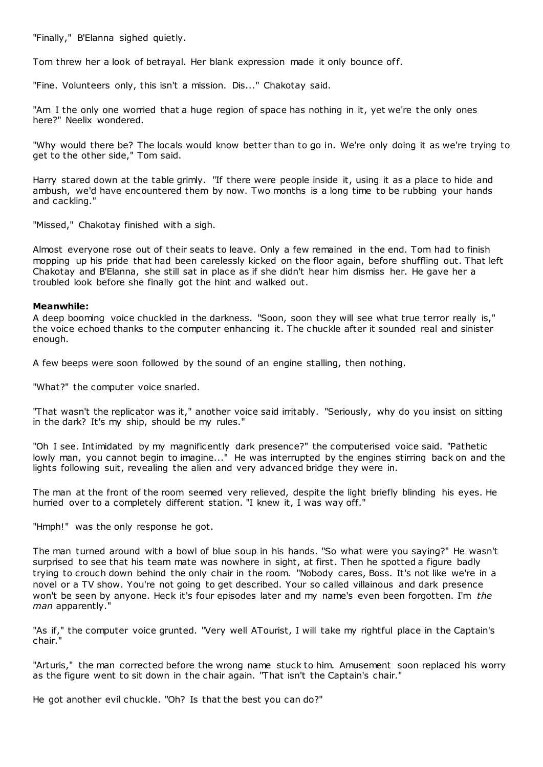"Finally," B'Elanna sighed quietly.

Tom threw her a look of betrayal. Her blank expression made it only bounce off.

"Fine. Volunteers only, this isn't a mission. Dis..." Chakotay said.

"Am I the only one worried that a huge region of space has nothing in it, yet we're the only ones here?" Neelix wondered.

"Why would there be? The locals would know better than to go in. We're only doing it as we're trying to get to the other side," Tom said.

Harry stared down at the table grimly. "If there were people inside it, using it as a place to hide and ambush, we'd have encountered them by now. Two months is a long time to be rubbing your hands and cackling."

"Missed," Chakotay finished with a sigh.

Almost everyone rose out of their seats to leave. Only a few remained in the end. Tom had to finish mopping up his pride that had been carelessly kicked on the floor again, before shuffling out. That left Chakotay and B'Elanna, she still sat in place as if she didn't hear him dismiss her. He gave her a troubled look before she finally got the hint and walked out.

# **Meanwhile:**

A deep booming voice chuckled in the darkness. "Soon, soon they will see what true terror really is," the voice echoed thanks to the computer enhancing it. The chuckle after it sounded real and sinister enough.

A few beeps were soon followed by the sound of an engine stalling, then nothing.

"What?" the computer voice snarled.

"That wasn't the replicator was it," another voice said irritably. "Seriously, why do you insist on sitting in the dark? It's my ship, should be my rules."

"Oh I see. Intimidated by my magnificently dark presence?" the computerised voice said. "Pathetic lowly man, you cannot begin to imagine..." He was interrupted by the engines stirring back on and the lights following suit, revealing the alien and very advanced bridge they were in.

The man at the front of the room seemed very relieved, despite the light briefly blinding his eyes. He hurried over to a completely different station. "I knew it, I was way off."

"Hmph!" was the only response he got.

The man turned around with a bowl of blue soup in his hands. "So what were you saying?" He wasn't surprised to see that his team mate was nowhere in sight, at first. Then he spotted a figure badly trying to crouch down behind the only chair in the room. "Nobody cares, Boss. It's not like we're in a novel or a TV show. You're not going to get described. Your so called villainous and dark presence won't be seen by anyone. Heck it's four episodes later and my name's even been forgotten. I'm *the man* apparently."

"As if," the computer voice grunted. "Very well ATourist, I will take my rightful place in the Captain's chair."

"Arturis," the man corrected before the wrong name stuck to him. Amusement soon replaced his worry as the figure went to sit down in the chair again. "That isn't the Captain's chair."

He got another evil chuckle. "Oh? Is that the best you can do?"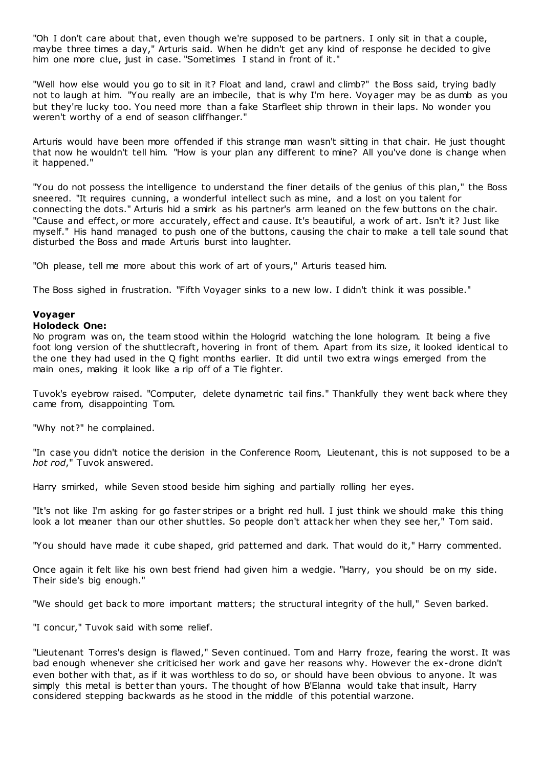"Oh I don't care about that, even though we're supposed to be partners. I only sit in that a couple, maybe three times a day," Arturis said. When he didn't get any kind of response he decided to give him one more clue, just in case. "Sometimes I stand in front of it."

"Well how else would you go to sit in it? Float and land, crawl and climb?" the Boss said, trying badly not to laugh at him. "You really are an imbecile, that is why I'm here. Voyager may be as dumb as you but they're lucky too. You need more than a fake Starfleet ship thrown in their laps. No wonder you weren't worthy of a end of season cliffhanger."

Arturis would have been more offended if this strange man wasn't sitting in that chair. He just thought that now he wouldn't tell him. "How is your plan any different to mine? All you've done is change when it happened."

"You do not possess the intelligence to understand the finer details of the genius of this plan," the Boss sneered. "It requires cunning, a wonderful intellect such as mine, and a lost on you talent for connecting the dots." Arturis hid a smirk as his partner's arm leaned on the few buttons on the chair. "Cause and effect, or more accurately, effect and cause. It's beautiful, a work of art. Isn't it? Just like myself." His hand managed to push one of the buttons, causing the chair to make a tell tale sound that disturbed the Boss and made Arturis burst into laughter.

"Oh please, tell me more about this work of art of yours," Arturis teased him.

The Boss sighed in frustration. "Fifth Voyager sinks to a new low. I didn't think it was possible."

# **Voyager**

# **Holodeck One:**

No program was on, the team stood within the Hologrid watching the lone hologram. It being a five foot long version of the shuttlecraft, hovering in front of them. Apart from its size, it looked identical to the one they had used in the Q fight months earlier. It did until two extra wings emerged from the main ones, making it look like a rip off of a Tie fighter.

Tuvok's eyebrow raised. "Computer, delete dynametric tail fins." Thankfully they went back where they came from, disappointing Tom.

"Why not?" he complained.

"In case you didn't notice the derision in the Conference Room, Lieutenant, this is not supposed to be a *hot rod*," Tuvok answered.

Harry smirked, while Seven stood beside him sighing and partially rolling her eyes.

"It's not like I'm asking for go faster stripes or a bright red hull. I just think we should make this thing look a lot meaner than our other shuttles. So people don't attack her when they see her," Tom said.

"You should have made it cube shaped, grid patterned and dark. That would do it," Harry commented.

Once again it felt like his own best friend had given him a wedgie. "Harry, you should be on my side. Their side's big enough."

"We should get back to more important matters; the structural integrity of the hull," Seven barked.

"I concur," Tuvok said with some relief.

"Lieutenant Torres's design is flawed," Seven continued. Tom and Harry froze, fearing the worst. It was bad enough whenever she criticised her work and gave her reasons why. However the ex-drone didn't even bother with that, as if it was worthless to do so, or should have been obvious to anyone. It was simply this metal is better than yours. The thought of how B'Elanna would take that insult, Harry considered stepping backwards as he stood in the middle of this potential warzone.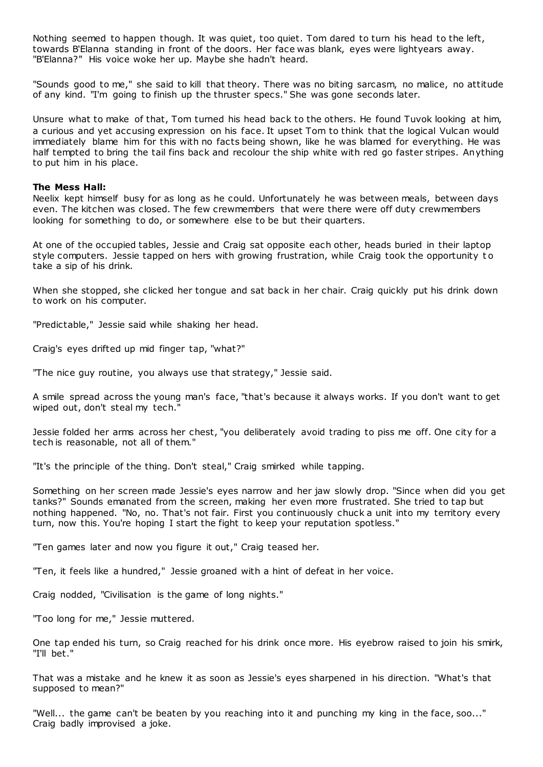Nothing seemed to happen though. It was quiet, too quiet. Tom dared to turn his head to the left, towards B'Elanna standing in front of the doors. Her face was blank, eyes were lightyears away. "B'Elanna?" His voice woke her up. Maybe she hadn't heard.

"Sounds good to me," she said to kill that theory. There was no biting sarcasm, no malice, no attitude of any kind. "I'm going to finish up the thruster specs." She was gone seconds later.

Unsure what to make of that, Tom turned his head back to the others. He found Tuvok looking at him, a curious and yet accusing expression on his face. It upset Tom to think that the logical Vulcan would immediately blame him for this with no facts being shown, like he was blamed for everything. He was half tempted to bring the tail fins back and recolour the ship white with red go faster stripes. Anything to put him in his place.

## **The Mess Hall:**

Neelix kept himself busy for as long as he could. Unfortunately he was between meals, between days even. The kitchen was closed. The few crewmembers that were there were off duty crewmembers looking for something to do, or somewhere else to be but their quarters.

At one of the occupied tables, Jessie and Craig sat opposite each other, heads buried in their laptop style computers. Jessie tapped on hers with growing frustration, while Craig took the opportunity t o take a sip of his drink.

When she stopped, she clicked her tongue and sat back in her chair. Craig quickly put his drink down to work on his computer.

"Predictable," Jessie said while shaking her head.

Craig's eyes drifted up mid finger tap, "what?"

"The nice guy routine, you always use that strategy," Jessie said.

A smile spread across the young man's face, "that's because it always works. If you don't want to get wiped out, don't steal my tech."

Jessie folded her arms across her chest, "you deliberately avoid trading to piss me off. One city for a tech is reasonable, not all of them."

"It's the principle of the thing. Don't steal," Craig smirked while tapping.

Something on her screen made Jessie's eyes narrow and her jaw slowly drop. "Since when did you get tanks?" Sounds emanated from the screen, making her even more frustrated. She tried to tap but nothing happened. "No, no. That's not fair. First you continuously chuck a unit into my territory every turn, now this. You're hoping I start the fight to keep your reputation spotless."

"Ten games later and now you figure it out," Craig teased her.

"Ten, it feels like a hundred," Jessie groaned with a hint of defeat in her voice.

Craig nodded, "Civilisation is the game of long nights."

"Too long for me," Jessie muttered.

One tap ended his turn, so Craig reached for his drink once more. His eyebrow raised to join his smirk, "I'll bet."

That was a mistake and he knew it as soon as Jessie's eyes sharpened in his direction. "What's that supposed to mean?"

"Well... the game can't be beaten by you reaching into it and punching my king in the face, soo..." Craig badly improvised a joke.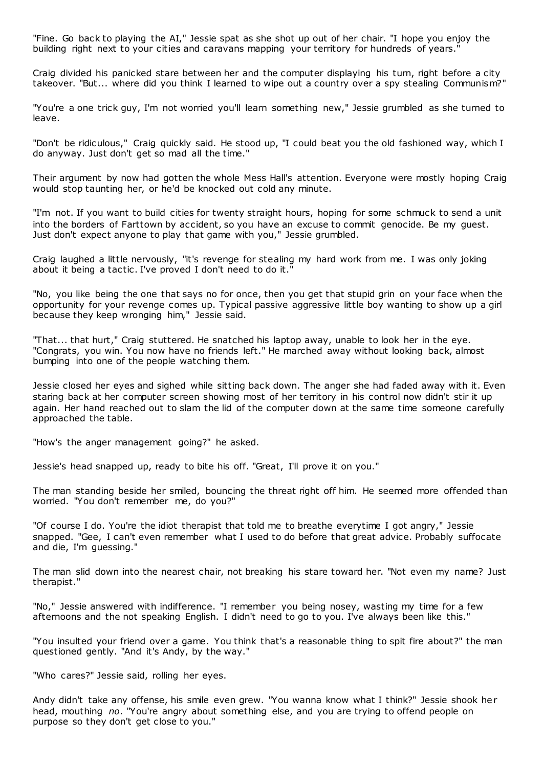"Fine. Go back to playing the AI," Jessie spat as she shot up out of her chair. "I hope you enjoy the building right next to your cities and caravans mapping your territory for hundreds of years."

Craig divided his panicked stare between her and the computer displaying his turn, right before a city takeover. "But... where did you think I learned to wipe out a country over a spy stealing Communism?"

"You're a one trick guy, I'm not worried you'll learn something new," Jessie grumbled as she turned to leave.

"Don't be ridiculous," Craig quickly said. He stood up, "I could beat you the old fashioned way, which I do anyway. Just don't get so mad all the time."

Their argument by now had gotten the whole Mess Hall's attention. Everyone were mostly hoping Craig would stop taunting her, or he'd be knocked out cold any minute.

"I'm not. If you want to build cities for twenty straight hours, hoping for some schmuck to send a unit into the borders of Farttown by accident, so you have an excuse to commit genocide. Be my guest. Just don't expect anyone to play that game with you," Jessie grumbled.

Craig laughed a little nervously, "it's revenge for stealing my hard work from me. I was only joking about it being a tactic. I've proved I don't need to do it."

"No, you like being the one that says no for once, then you get that stupid grin on your face when the opportunity for your revenge comes up. Typical passive aggressive little boy wanting to show up a girl because they keep wronging him," Jessie said.

"That... that hurt," Craig stuttered. He snatched his laptop away, unable to look her in the eye. "Congrats, you win. You now have no friends left." He marched away without looking back, almost bumping into one of the people watching them.

Jessie closed her eyes and sighed while sitting back down. The anger she had faded away with it. Even staring back at her computer screen showing most of her territory in his control now didn't stir it up again. Her hand reached out to slam the lid of the computer down at the same time someone carefully approached the table.

"How's the anger management going?" he asked.

Jessie's head snapped up, ready to bite his off. "Great, I'll prove it on you."

The man standing beside her smiled, bouncing the threat right off him. He seemed more offended than worried. "You don't remember me, do you?"

"Of course I do. You're the idiot therapist that told me to breathe everytime I got angry," Jessie snapped. "Gee, I can't even remember what I used to do before that great advice. Probably suffocate and die, I'm guessing."

The man slid down into the nearest chair, not breaking his stare toward her. "Not even my name? Just therapist."

"No," Jessie answered with indifference. "I remember you being nosey, wasting my time for a few afternoons and the not speaking English. I didn't need to go to you. I've always been like this."

"You insulted your friend over a game. You think that's a reasonable thing to spit fire about?" the man questioned gently. "And it's Andy, by the way."

"Who cares?" Jessie said, rolling her eyes.

Andy didn't take any offense, his smile even grew. "You wanna know what I think?" Jessie shook her head, mouthing *no*. "You're angry about something else, and you are trying to offend people on purpose so they don't get close to you."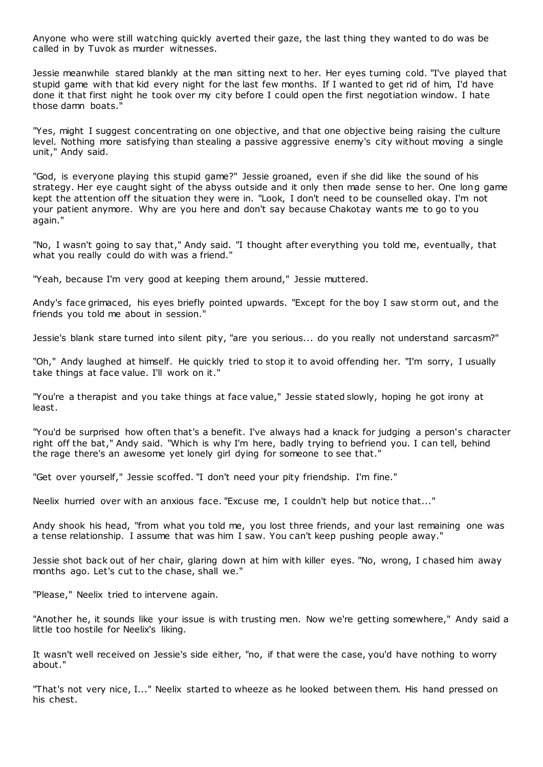Anyone who were still watching quickly averted their gaze, the last thing they wanted to do was be called in by Tuvok as murder witnesses.

Jessie meanwhile stared blankly at the man sitting next to her. Her eyes turning cold. "I've played that stupid game with that kid every night for the last few months. If I wanted to get rid of him, I'd have done it that first night he took over my city before I could open the first negotiation window. I hate those damn boats."

"Yes, might I suggest concentrating on one objective, and that one objective being raising the culture level. Nothing more satisfying than stealing a passive aggressive enemy's city without moving a single unit," Andy said.

"God, is everyone playing this stupid game?" Jessie groaned, even if she did like the sound of his strategy. Her eye caught sight of the abyss outside and it only then made sense to her. One long game kept the attention off the situation they were in. "Look, I don't need to be counselled okay. I'm not your patient anymore. Why are you here and don't say because Chakotay wants me to go to you again."

"No, I wasn't going to say that," Andy said. "I thought after everything you told me, eventually, that what you really could do with was a friend."

"Yeah, because I'm very good at keeping them around," Jessie muttered.

Andy's face grimaced, his eyes briefly pointed upwards. "Except for the boy I saw st orm out, and the friends you told me about in session."

Jessie's blank stare turned into silent pity, "are you serious... do you really not understand sarcasm?"

"Oh," Andy laughed at himself. He quickly tried to stop it to avoid offending her. "I'm sorry, I usually take things at face value. I'll work on it."

"You're a therapist and you take things at face value," Jessie stated slowly, hoping he got irony at least.

"You'd be surprised how often that's a benefit. I've always had a knack for judging a person's character right off the bat," Andy said. "Which is why I'm here, badly trying to befriend you. I can tell, behind the rage there's an awesome yet lonely girl dying for someone to see that."

"Get over yourself," Jessie scoffed. "I don't need your pity friendship. I'm fine."

Neelix hurried over with an anxious face. "Excuse me, I couldn't help but notice that..."

Andy shook his head, "from what you told me, you lost three friends, and your last remaining one was a tense relationship. I assume that was him I saw. You can't keep pushing people away."

Jessie shot back out of her chair, glaring down at him with killer eyes. "No, wrong, I chased him away months ago. Let's cut to the chase, shall we."

"Please," Neelix tried to intervene again.

"Another he, it sounds like your issue is with trusting men. Now we're getting somewhere," Andy said a little too hostile for Neelix's liking.

It wasn't well received on Jessie's side either, "no, if that were the case, you'd have nothing to worry about."

"That's not very nice, I..." Neelix started to wheeze as he looked between them. His hand pressed on his chest.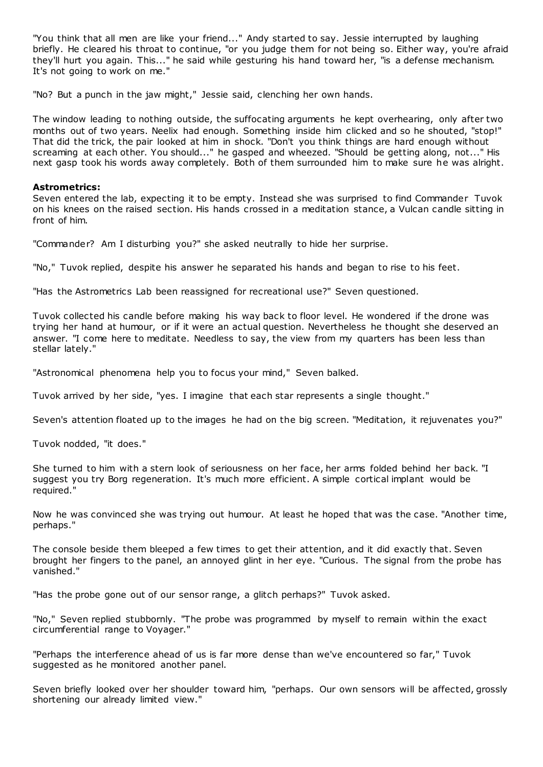"You think that all men are like your friend..." Andy started to say. Jessie interrupted by laughing briefly. He cleared his throat to continue, "or you judge them for not being so. Either way, you're afraid they'll hurt you again. This..." he said while gesturing his hand toward her, "is a defense mechanism. It's not going to work on me."

"No? But a punch in the jaw might," Jessie said, clenching her own hands.

The window leading to nothing outside, the suffocating arguments he kept overhearing, only after two months out of two years. Neelix had enough. Something inside him clicked and so he shouted, "stop!" That did the trick, the pair looked at him in shock. "Don't you think things are hard enough without screaming at each other. You should..." he gasped and wheezed. "Should be getting along, not..." His next gasp took his words away completely. Both of them surrounded him to make sure he was alright.

# **Astrometrics:**

Seven entered the lab, expecting it to be empty. Instead she was surprised to find Commander Tuvok on his knees on the raised section. His hands crossed in a meditation stance, a Vulcan candle sitting in front of him.

"Commander? Am I disturbing you?" she asked neutrally to hide her surprise.

"No," Tuvok replied, despite his answer he separated his hands and began to rise to his feet.

"Has the Astrometrics Lab been reassigned for recreational use?" Seven questioned.

Tuvok collected his candle before making his way back to floor level. He wondered if the drone was trying her hand at humour, or if it were an actual question. Nevertheless he thought she deserved an answer. "I come here to meditate. Needless to say, the view from my quarters has been less than stellar lately."

"Astronomical phenomena help you to focus your mind," Seven balked.

Tuvok arrived by her side, "yes. I imagine that each star represents a single thought."

Seven's attention floated up to the images he had on the big screen. "Meditation, it rejuvenates you?"

Tuvok nodded, "it does."

She turned to him with a stern look of seriousness on her face, her arms folded behind her back. "I suggest you try Borg regeneration. It's much more efficient. A simple cortical implant would be required."

Now he was convinced she was trying out humour. At least he hoped that was the case. "Another time, perhaps."

The console beside them bleeped a few times to get their attention, and it did exactly that. Seven brought her fingers to the panel, an annoyed glint in her eye. "Curious. The signal from the probe has vanished."

"Has the probe gone out of our sensor range, a glitch perhaps?" Tuvok asked.

"No," Seven replied stubbornly. "The probe was programmed by myself to remain within the exact circumferential range to Voyager."

"Perhaps the interference ahead of us is far more dense than we've encountered so far," Tuvok suggested as he monitored another panel.

Seven briefly looked over her shoulder toward him, "perhaps. Our own sensors will be affected, grossly shortening our already limited view."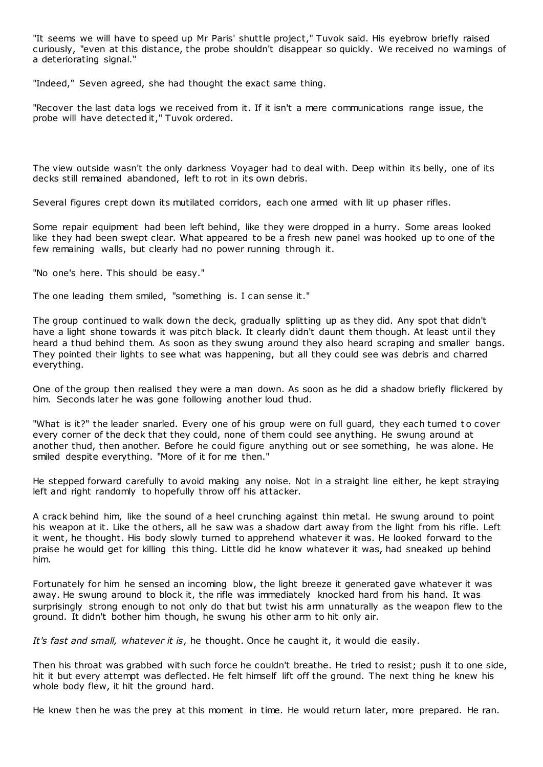"It seems we will have to speed up Mr Paris' shuttle project," Tuvok said. His eyebrow briefly raised curiously, "even at this distance, the probe shouldn't disappear so quickly. We received no warnings of a deteriorating signal."

"Indeed," Seven agreed, she had thought the exact same thing.

"Recover the last data logs we received from it. If it isn't a mere communications range issue, the probe will have detected it," Tuvok ordered.

The view outside wasn't the only darkness Voyager had to deal with. Deep within its belly, one of its decks still remained abandoned, left to rot in its own debris.

Several figures crept down its mutilated corridors, each one armed with lit up phaser rifles.

Some repair equipment had been left behind, like they were dropped in a hurry. Some areas looked like they had been swept clear. What appeared to be a fresh new panel was hooked up to one of the few remaining walls, but clearly had no power running through it.

"No one's here. This should be easy."

The one leading them smiled, "something is. I can sense it."

The group continued to walk down the deck, gradually splitting up as they did. Any spot that didn't have a light shone towards it was pitch black. It clearly didn't daunt them though. At least until they heard a thud behind them. As soon as they swung around they also heard scraping and smaller bangs. They pointed their lights to see what was happening, but all they could see was debris and charred everything.

One of the group then realised they were a man down. As soon as he did a shadow briefly flickered by him. Seconds later he was gone following another loud thud.

"What is it?" the leader snarled. Every one of his group were on full guard, they each turned t o cover every corner of the deck that they could, none of them could see anything. He swung around at another thud, then another. Before he could figure anything out or see something, he was alone. He smiled despite everything. "More of it for me then."

He stepped forward carefully to avoid making any noise. Not in a straight line either, he kept straying left and right randomly to hopefully throw off his attacker.

A crack behind him, like the sound of a heel crunching against thin metal. He swung around to point his weapon at it. Like the others, all he saw was a shadow dart away from the light from his rifle. Left it went, he thought. His body slowly turned to apprehend whatever it was. He looked forward to the praise he would get for killing this thing. Little did he know whatever it was, had sneaked up behind him.

Fortunately for him he sensed an incoming blow, the light breeze it generated gave whatever it was away. He swung around to block it, the rifle was immediately knocked hard from his hand. It was surprisingly strong enough to not only do that but twist his arm unnaturally as the weapon flew to the ground. It didn't bother him though, he swung his other arm to hit only air.

*It's fast and small, whatever it is*, he thought. Once he caught it, it would die easily.

Then his throat was grabbed with such force he couldn't breathe. He tried to resist; push it to one side, hit it but every attempt was deflected. He felt himself lift off the ground. The next thing he knew his whole body flew, it hit the ground hard.

He knew then he was the prey at this moment in time. He would return later, more prepared. He ran.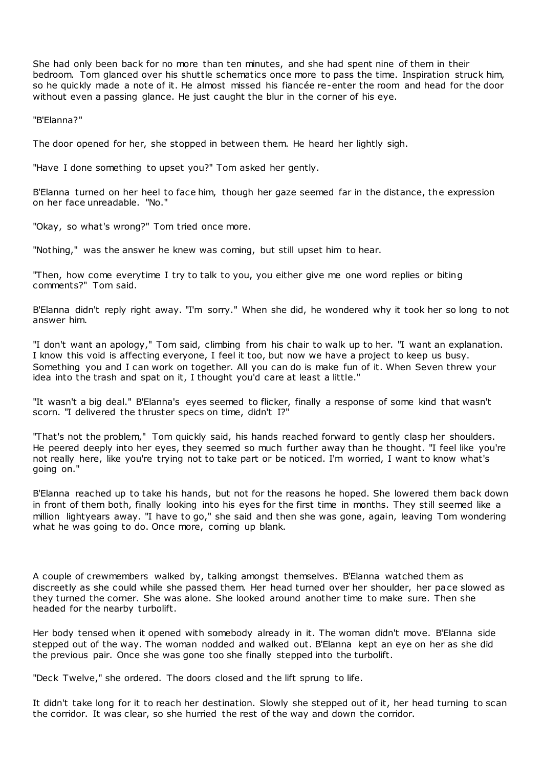She had only been back for no more than ten minutes, and she had spent nine of them in their bedroom. Tom glanced over his shuttle schematics once more to pass the time. Inspiration struck him, so he quickly made a note of it. He almost missed his fiancée re-enter the room and head for the door without even a passing glance. He just caught the blur in the corner of his eye.

"B'Elanna?"

The door opened for her, she stopped in between them. He heard her lightly sigh.

"Have I done something to upset you?" Tom asked her gently.

B'Elanna turned on her heel to face him, though her gaze seemed far in the distance, the expression on her face unreadable. "No."

"Okay, so what's wrong?" Tom tried once more.

"Nothing," was the answer he knew was coming, but still upset him to hear.

"Then, how come everytime I try to talk to you, you either give me one word replies or biting comments?" Tom said.

B'Elanna didn't reply right away. "I'm sorry." When she did, he wondered why it took her so long to not answer him.

"I don't want an apology," Tom said, climbing from his chair to walk up to her. "I want an explanation. I know this void is affecting everyone, I feel it too, but now we have a project to keep us busy. Something you and I can work on together. All you can do is make fun of it. When Seven threw your idea into the trash and spat on it, I thought you'd care at least a little."

"It wasn't a big deal." B'Elanna's eyes seemed to flicker, finally a response of some kind that wasn't scorn. "I delivered the thruster specs on time, didn't I?"

"That's not the problem," Tom quickly said, his hands reached forward to gently clasp her shoulders. He peered deeply into her eyes, they seemed so much further away than he thought. "I feel like you're not really here, like you're trying not to take part or be noticed. I'm worried, I want to know what's going on."

B'Elanna reached up to take his hands, but not for the reasons he hoped. She lowered them back down in front of them both, finally looking into his eyes for the first time in months. They still seemed like a million lightyears away. "I have to go," she said and then she was gone, again, leaving Tom wondering what he was going to do. Once more, coming up blank.

A couple of crewmembers walked by, talking amongst themselves. B'Elanna watched them as discreetly as she could while she passed them. Her head turned over her shoulder, her pace slowed as they turned the corner. She was alone. She looked around another time to make sure. Then she headed for the nearby turbolift.

Her body tensed when it opened with somebody already in it. The woman didn't move. B'Elanna side stepped out of the way. The woman nodded and walked out. B'Elanna kept an eye on her as she did the previous pair. Once she was gone too she finally stepped into the turbolift.

"Deck Twelve," she ordered. The doors closed and the lift sprung to life.

It didn't take long for it to reach her destination. Slowly she stepped out of it, her head turning to scan the corridor. It was clear, so she hurried the rest of the way and down the corridor.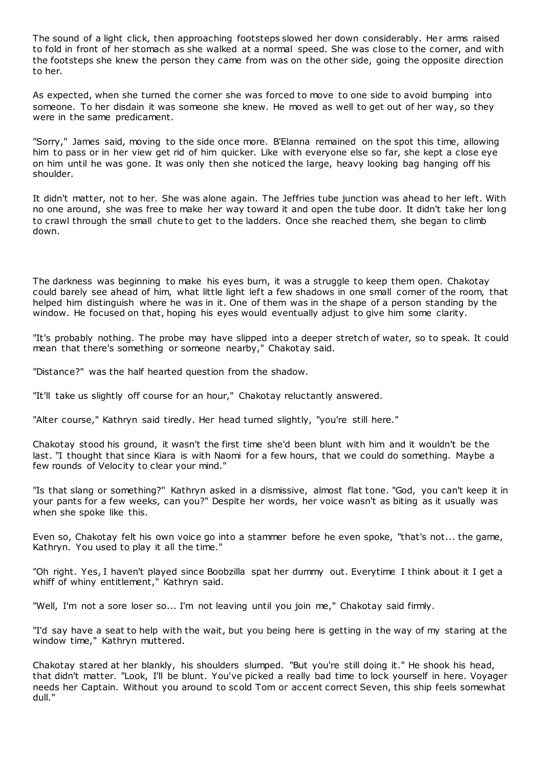The sound of a light click, then approaching footsteps slowed her down considerably. Her arms raised to fold in front of her stomach as she walked at a normal speed. She was close to the corner, and with the footsteps she knew the person they came from was on the other side, going the opposite direction to her.

As expected, when she turned the corner she was forced to move to one side to avoid bumping into someone. To her disdain it was someone she knew. He moved as well to get out of her way, so they were in the same predicament.

"Sorry," James said, moving to the side once more. B'Elanna remained on the spot this time, allowing him to pass or in her view get rid of him quicker. Like with everyone else so far, she kept a close eye on him until he was gone. It was only then she noticed the large, heavy looking bag hanging off his shoulder.

It didn't matter, not to her. She was alone again. The Jeffries tube junction was ahead to her left. With no one around, she was free to make her way toward it and open the tube door. It didn't take her long to crawl through the small chute to get to the ladders. Once she reached them, she began to climb down.

The darkness was beginning to make his eyes burn, it was a struggle to keep them open. Chakotay could barely see ahead of him, what little light left a few shadows in one small corner of the room, that helped him distinguish where he was in it. One of them was in the shape of a person standing by the window. He focused on that, hoping his eyes would eventually adjust to give him some clarity.

"It's probably nothing. The probe may have slipped into a deeper stretch of water, so to speak. It could mean that there's something or someone nearby," Chakotay said.

"Distance?" was the half hearted question from the shadow.

"It'll take us slightly off course for an hour," Chakotay reluctantly answered.

"Alter course," Kathryn said tiredly. Her head turned slightly, "you're still here."

Chakotay stood his ground, it wasn't the first time she'd been blunt with him and it wouldn't be the last. "I thought that since Kiara is with Naomi for a few hours, that we could do something. Maybe a few rounds of Velocity to clear your mind."

"Is that slang or something?" Kathryn asked in a dismissive, almost flat tone. "God, you can't keep it in your pants for a few weeks, can you?" Despite her words, her voice wasn't as biting as it usually was when she spoke like this.

Even so, Chakotay felt his own voice go into a stammer before he even spoke, "that's not... the game, Kathryn. You used to play it all the time."

"Oh right. Yes, I haven't played since Boobzilla spat her dummy out. Everytime I think about it I get a whiff of whiny entitlement," Kathryn said.

"Well, I'm not a sore loser so... I'm not leaving until you join me," Chakotay said firmly.

"I'd say have a seat to help with the wait, but you being here is getting in the way of my staring at the window time," Kathryn muttered.

Chakotay stared at her blankly, his shoulders slumped. "But you're still doing it." He shook his head, that didn't matter. "Look, I'll be blunt. You've picked a really bad time to lock yourself in here. Voyager needs her Captain. Without you around to scold Tom or accent correct Seven, this ship feels somewhat dull."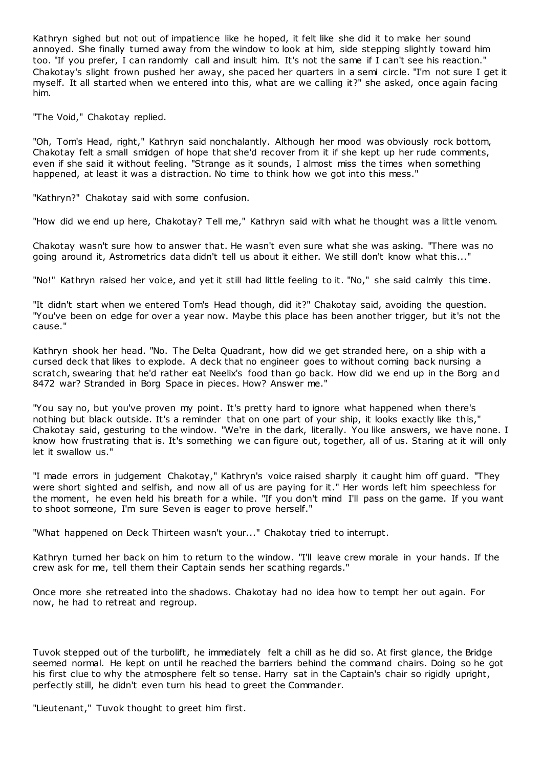Kathryn sighed but not out of impatience like he hoped, it felt like she did it to make her sound annoyed. She finally turned away from the window to look at him, side stepping slightly toward him too. "If you prefer, I can randomly call and insult him. It's not the same if I can't see his reaction." Chakotay's slight frown pushed her away, she paced her quarters in a semi circle. "I'm not sure I get it myself. It all started when we entered into this, what are we calling it?" she asked, once again facing him.

"The Void," Chakotay replied.

"Oh, Tom's Head, right," Kathryn said nonchalantly. Although her mood was obviously rock bottom, Chakotay felt a small smidgen of hope that she'd recover from it if she kept up her rude comments, even if she said it without feeling. "Strange as it sounds, I almost miss the times when something happened, at least it was a distraction. No time to think how we got into this mess."

"Kathryn?" Chakotay said with some confusion.

"How did we end up here, Chakotay? Tell me," Kathryn said with what he thought was a little venom.

Chakotay wasn't sure how to answer that. He wasn't even sure what she was asking. "There was no going around it, Astrometrics data didn't tell us about it either. We still don't know what this..."

"No!" Kathryn raised her voice, and yet it still had little feeling to it. "No," she said calmly this time.

"It didn't start when we entered Tom's Head though, did it?" Chakotay said, avoiding the question. "You've been on edge for over a year now. Maybe this place has been another trigger, but it's not the cause."

Kathryn shook her head. "No. The Delta Quadrant, how did we get stranded here, on a ship with a cursed deck that likes to explode. A deck that no engineer goes to without coming back nursing a scratch, swearing that he'd rather eat Neelix's food than go back. How did we end up in the Borg and 8472 war? Stranded in Borg Space in pieces. How? Answer me."

"You say no, but you've proven my point. It's pretty hard to ignore what happened when there's nothing but black outside. It's a reminder that on one part of your ship, it looks exactly like this," Chakotay said, gesturing to the window. "We're in the dark, literally. You like answers, we have none. I know how frustrating that is. It's something we can figure out, together, all of us. Staring at it will only let it swallow us."

"I made errors in judgement Chakotay," Kathryn's voice raised sharply it caught him off guard. "They were short sighted and selfish, and now all of us are paying for it." Her words left him speechless for the moment, he even held his breath for a while. "If you don't mind I'll pass on the game. If you want to shoot someone, I'm sure Seven is eager to prove herself."

"What happened on Deck Thirteen wasn't your..." Chakotay tried to interrupt.

Kathryn turned her back on him to return to the window. "I'll leave crew morale in your hands. If the crew ask for me, tell them their Captain sends her scathing regards."

Once more she retreated into the shadows. Chakotay had no idea how to tempt her out again. For now, he had to retreat and regroup.

Tuvok stepped out of the turbolift, he immediately felt a chill as he did so. At first glance, the Bridge seemed normal. He kept on until he reached the barriers behind the command chairs. Doing so he got his first clue to why the atmosphere felt so tense. Harry sat in the Captain's chair so rigidly upright, perfectly still, he didn't even turn his head to greet the Commander.

"Lieutenant," Tuvok thought to greet him first.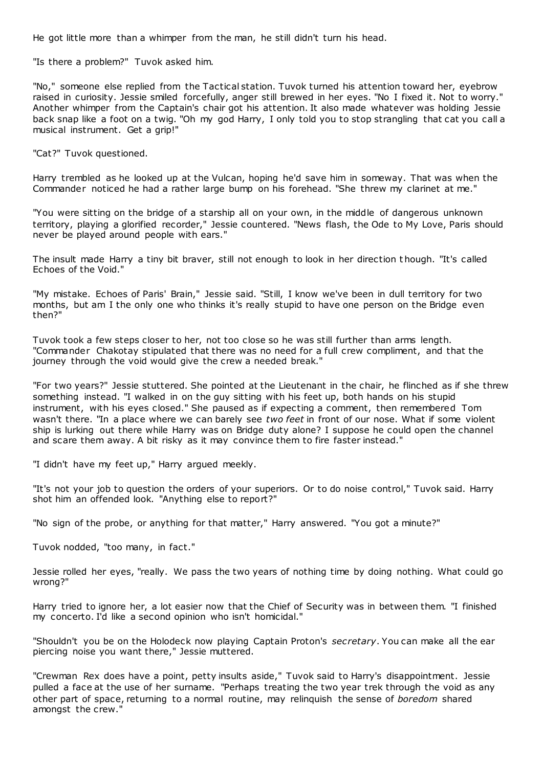He got little more than a whimper from the man, he still didn't turn his head.

"Is there a problem?" Tuvok asked him.

"No," someone else replied from the Tactical station. Tuvok turned his attention toward her, eyebrow raised in curiosity. Jessie smiled forcefully, anger still brewed in her eyes. "No I fixed it. Not to worry." Another whimper from the Captain's chair got his attention. It also made whatever was holding Jessie back snap like a foot on a twig. "Oh my god Harry, I only told you to stop strangling that cat you call a musical instrument. Get a grip!"

"Cat?" Tuvok questioned.

Harry trembled as he looked up at the Vulcan, hoping he'd save him in someway. That was when the Commander noticed he had a rather large bump on his forehead. "She threw my clarinet at me."

"You were sitting on the bridge of a starship all on your own, in the middle of dangerous unknown territory, playing a glorified recorder," Jessie countered. "News flash, the Ode to My Love, Paris should never be played around people with ears."

The insult made Harry a tiny bit braver, still not enough to look in her direction t hough. "It's called Echoes of the Void."

"My mistake. Echoes of Paris' Brain," Jessie said. "Still, I know we've been in dull territory for two months, but am I the only one who thinks it's really stupid to have one person on the Bridge even then?"

Tuvok took a few steps closer to her, not too close so he was still further than arms length. "Commander Chakotay stipulated that there was no need for a full crew compliment, and that the journey through the void would give the crew a needed break."

"For two years?" Jessie stuttered. She pointed at the Lieutenant in the chair, he flinched as if she threw something instead. "I walked in on the guy sitting with his feet up, both hands on his stupid instrument, with his eyes closed." She paused as if expecting a comment, then remembered Tom wasn't there. "In a place where we can barely see *two feet* in front of our nose. What if some violent ship is lurking out there while Harry was on Bridge duty alone? I suppose he could open the channel and scare them away. A bit risky as it may convince them to fire faster instead."

"I didn't have my feet up," Harry argued meekly.

"It's not your job to question the orders of your superiors. Or to do noise control," Tuvok said. Harry shot him an offended look. "Anything else to report?"

"No sign of the probe, or anything for that matter," Harry answered. "You got a minute?"

Tuvok nodded, "too many, in fact."

Jessie rolled her eyes, "really. We pass the two years of nothing time by doing nothing. What could go wrong?"

Harry tried to ignore her, a lot easier now that the Chief of Security was in between them. "I finished my concerto. I'd like a second opinion who isn't homicidal."

"Shouldn't you be on the Holodeck now playing Captain Proton's *secretary*. You can make all the ear piercing noise you want there," Jessie muttered.

"Crewman Rex does have a point, petty insults aside," Tuvok said to Harry's disappointment. Jessie pulled a face at the use of her surname. "Perhaps treating the two year trek through the void as any other part of space, returning to a normal routine, may relinquish the sense of *boredom* shared amongst the crew."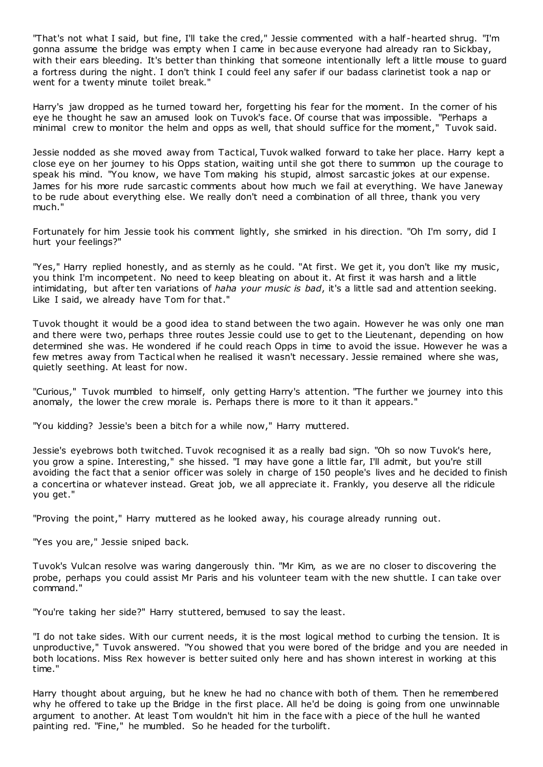"That's not what I said, but fine, I'll take the cred," Jessie commented with a half -hearted shrug. "I'm gonna assume the bridge was empty when I came in bec ause everyone had already ran to Sickbay, with their ears bleeding. It's better than thinking that someone intentionally left a little mouse to guard a fortress during the night. I don't think I could feel any safer if our badass clarinetist took a nap or went for a twenty minute toilet break."

Harry's jaw dropped as he turned toward her, forgetting his fear for the moment. In the corner of his eye he thought he saw an amused look on Tuvok's face. Of course that was impossible. "Perhaps a minimal crew to monitor the helm and opps as well, that should suffice for the moment," Tuvok said.

Jessie nodded as she moved away from Tactical, Tuvok walked forward to take her place. Harry kept a close eye on her journey to his Opps station, waiting until she got there to summon up the courage to speak his mind. "You know, we have Tom making his stupid, almost sarcastic jokes at our expense. James for his more rude sarcastic comments about how much we fail at everything. We have Janeway to be rude about everything else. We really don't need a combination of all three, thank you very much."

Fortunately for him Jessie took his comment lightly, she smirked in his direction. "Oh I'm sorry, did I hurt your feelings?"

"Yes," Harry replied honestly, and as sternly as he could. "At first. We get it, you don't like my music, you think I'm incompetent. No need to keep bleating on about it. At first it was harsh and a little intimidating, but after ten variations of *haha your music is bad*, it's a little sad and attention seeking. Like I said, we already have Tom for that."

Tuvok thought it would be a good idea to stand between the two again. However he was only one man and there were two, perhaps three routes Jessie could use to get to the Lieutenant, depending on how determined she was. He wondered if he could reach Opps in time to avoid the issue. However he was a few metres away from Tactical when he realised it wasn't necessary. Jessie remained where she was, quietly seething. At least for now.

"Curious," Tuvok mumbled to himself, only getting Harry's attention. "The further we journey into this anomaly, the lower the crew morale is. Perhaps there is more to it than it appears."

"You kidding? Jessie's been a bitch for a while now," Harry muttered.

Jessie's eyebrows both twitched. Tuvok recognised it as a really bad sign. "Oh so now Tuvok's here, you grow a spine. Interesting," she hissed. "I may have gone a little far, I'll admit, but you're still avoiding the fact that a senior officer was solely in charge of 150 people's lives and he decided to finish a concertina or whatever instead. Great job, we all appreciate it. Frankly, you deserve all the ridicule you get."

"Proving the point," Harry muttered as he looked away, his courage already running out.

"Yes you are," Jessie sniped back.

Tuvok's Vulcan resolve was waring dangerously thin. "Mr Kim, as we are no closer to discovering the probe, perhaps you could assist Mr Paris and his volunteer team with the new shuttle. I can take over command."

"You're taking her side?" Harry stuttered, bemused to say the least.

"I do not take sides. With our current needs, it is the most logical method to curbing the tension. It is unproductive," Tuvok answered. "You showed that you were bored of the bridge and you are needed in both locations. Miss Rex however is better suited only here and has shown interest in working at this time."

Harry thought about arguing, but he knew he had no chance with both of them. Then he remembered why he offered to take up the Bridge in the first place. All he'd be doing is going from one unwinnable argument to another. At least Tom wouldn't hit him in the face with a piece of the hull he wanted painting red. "Fine," he mumbled. So he headed for the turbolift.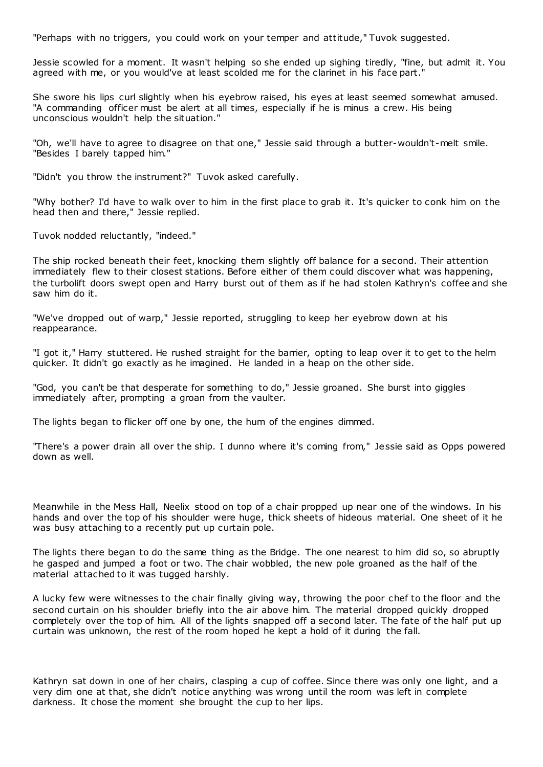"Perhaps with no triggers, you could work on your temper and attitude," Tuvok suggested.

Jessie scowled for a moment. It wasn't helping so she ended up sighing tiredly, "fine, but admit it. You agreed with me, or you would've at least scolded me for the clarinet in his face part."

She swore his lips curl slightly when his eyebrow raised, his eyes at least seemed somewhat amused. "A commanding officer must be alert at all times, especially if he is minus a crew. His being unconscious wouldn't help the situation."

"Oh, we'll have to agree to disagree on that one," Jessie said through a butter-wouldn't-melt smile. "Besides I barely tapped him."

"Didn't you throw the instrument?" Tuvok asked carefully.

"Why bother? I'd have to walk over to him in the first place to grab it. It's quicker to conk him on the head then and there," Jessie replied.

Tuvok nodded reluctantly, "indeed."

The ship rocked beneath their feet, knocking them slightly off balance for a second. Their attention immediately flew to their closest stations. Before either of them could discover what was happening, the turbolift doors swept open and Harry burst out of them as if he had stolen Kathryn's coffee and she saw him do it.

"We've dropped out of warp," Jessie reported, struggling to keep her eyebrow down at his reappearance.

"I got it," Harry stuttered. He rushed straight for the barrier, opting to leap over it to get to the helm quicker. It didn't go exactly as he imagined. He landed in a heap on the other side.

"God, you can't be that desperate for something to do," Jessie groaned. She burst into giggles immediately after, prompting a groan from the vaulter.

The lights began to flicker off one by one, the hum of the engines dimmed.

"There's a power drain all over the ship. I dunno where it's coming from," Jessie said as Opps powered down as well.

Meanwhile in the Mess Hall, Neelix stood on top of a chair propped up near one of the windows. In his hands and over the top of his shoulder were huge, thick sheets of hideous material. One sheet of it he was busy attaching to a recently put up curtain pole.

The lights there began to do the same thing as the Bridge. The one nearest to him did so, so abruptly he gasped and jumped a foot or two. The chair wobbled, the new pole groaned as the half of the material attached to it was tugged harshly.

A lucky few were witnesses to the chair finally giving way, throwing the poor chef to the floor and the second curtain on his shoulder briefly into the air above him. The material dropped quickly dropped completely over the top of him. All of the lights snapped off a second later. The fate of the half put up curtain was unknown, the rest of the room hoped he kept a hold of it during the fall.

Kathryn sat down in one of her chairs, clasping a cup of coffee. Since there was only one light, and a very dim one at that, she didn't notice anything was wrong until the room was left in complete darkness. It chose the moment she brought the cup to her lips.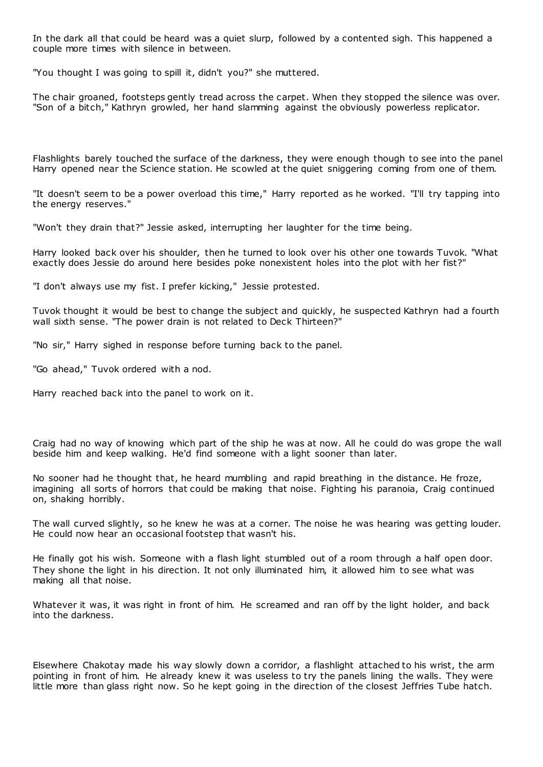In the dark all that could be heard was a quiet slurp, followed by a contented sigh. This happened a couple more times with silence in between.

"You thought I was going to spill it, didn't you?" she muttered.

The chair groaned, footsteps gently tread across the carpet. When they stopped the silence was over. "Son of a bitch," Kathryn growled, her hand slamming against the obviously powerless replicator.

Flashlights barely touched the surface of the darkness, they were enough though to see into the panel Harry opened near the Science station. He scowled at the quiet sniggering coming from one of them.

"It doesn't seem to be a power overload this time," Harry reported as he worked. "I'll try tapping into the energy reserves."

"Won't they drain that?" Jessie asked, interrupting her laughter for the time being.

Harry looked back over his shoulder, then he turned to look over his other one towards Tuvok. "What exactly does Jessie do around here besides poke nonexistent holes into the plot with her fist?"

"I don't always use my fist. I prefer kicking," Jessie protested.

Tuvok thought it would be best to change the subject and quickly, he suspected Kathryn had a fourth wall sixth sense. "The power drain is not related to Deck Thirteen?"

"No sir," Harry sighed in response before turning back to the panel.

"Go ahead," Tuvok ordered with a nod.

Harry reached back into the panel to work on it.

Craig had no way of knowing which part of the ship he was at now. All he could do was grope the wall beside him and keep walking. He'd find someone with a light sooner than later.

No sooner had he thought that, he heard mumbling and rapid breathing in the distance. He froze, imagining all sorts of horrors that could be making that noise. Fighting his paranoia, Craig continued on, shaking horribly.

The wall curved slightly, so he knew he was at a corner. The noise he was hearing was getting louder. He could now hear an occasional footstep that wasn't his.

He finally got his wish. Someone with a flash light stumbled out of a room through a half open door. They shone the light in his direction. It not only illuminated him, it allowed him to see what was making all that noise.

Whatever it was, it was right in front of him. He screamed and ran off by the light holder, and back into the darkness.

Elsewhere Chakotay made his way slowly down a corridor, a flashlight attached to his wrist, the arm pointing in front of him. He already knew it was useless to try the panels lining the walls. They were little more than glass right now. So he kept going in the direction of the closest Jeffries Tube hatch.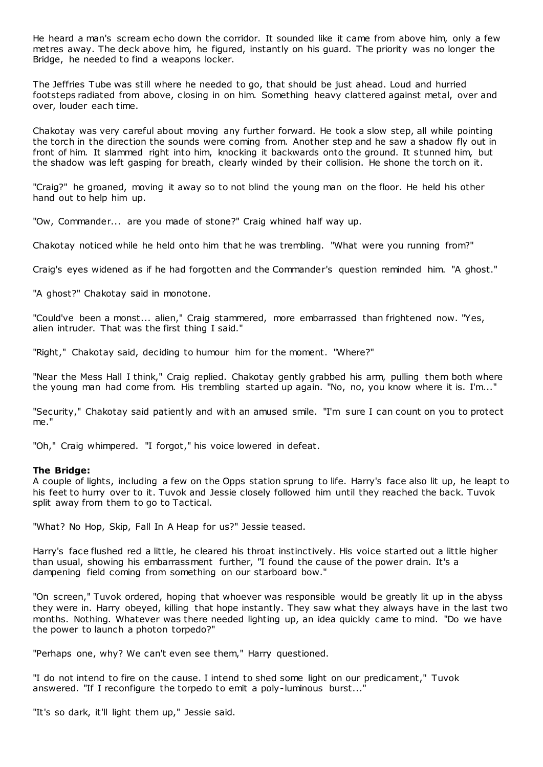He heard a man's scream echo down the corridor. It sounded like it came from above him, only a few metres away. The deck above him, he figured, instantly on his guard. The priority was no longer the Bridge, he needed to find a weapons locker.

The Jeffries Tube was still where he needed to go, that should be just ahead. Loud and hurried footsteps radiated from above, closing in on him. Something heavy clattered against metal, over and over, louder each time.

Chakotay was very careful about moving any further forward. He took a slow step, all while pointing the torch in the direction the sounds were coming from. Another step and he saw a shadow fly out in front of him. It slammed right into him, knocking it backwards onto the ground. It stunned him, but the shadow was left gasping for breath, clearly winded by their collision. He shone the torch on it.

"Craig?" he groaned, moving it away so to not blind the young man on the floor. He held his other hand out to help him up.

"Ow, Commander... are you made of stone?" Craig whined half way up.

Chakotay noticed while he held onto him that he was trembling. "What were you running from?"

Craig's eyes widened as if he had forgotten and the Commander's question reminded him. "A ghost."

"A ghost?" Chakotay said in monotone.

"Could've been a monst... alien," Craig stammered, more embarrassed than frightened now. "Yes, alien intruder. That was the first thing I said."

"Right," Chakotay said, deciding to humour him for the moment. "Where?"

"Near the Mess Hall I think," Craig replied. Chakotay gently grabbed his arm, pulling them both where the young man had come from. His trembling started up again. "No, no, you know where it is. I'm..."

"Security," Chakotay said patiently and with an amused smile. "I'm sure I can count on you to protect me."

"Oh," Craig whimpered. "I forgot," his voice lowered in defeat.

## **The Bridge:**

A couple of lights, including a few on the Opps station sprung to life. Harry's face also lit up, he leapt to his feet to hurry over to it. Tuvok and Jessie closely followed him until they reached the back. Tuvok split away from them to go to Tactical.

"What? No Hop, Skip, Fall In A Heap for us?" Jessie teased.

Harry's face flushed red a little, he cleared his throat instinctively. His voice started out a little higher than usual, showing his embarrassment further, "I found the cause of the power drain. It's a dampening field coming from something on our starboard bow."

"On screen," Tuvok ordered, hoping that whoever was responsible would be greatly lit up in the abyss they were in. Harry obeyed, killing that hope instantly. They saw what they always have in the last two months. Nothing. Whatever was there needed lighting up, an idea quickly came to mind. "Do we have the power to launch a photon torpedo?"

"Perhaps one, why? We can't even see them," Harry questioned.

"I do not intend to fire on the cause. I intend to shed some light on our predicament," Tuvok answered. "If I reconfigure the torpedo to emit a poly-luminous burst..."

"It's so dark, it'll light them up," Jessie said.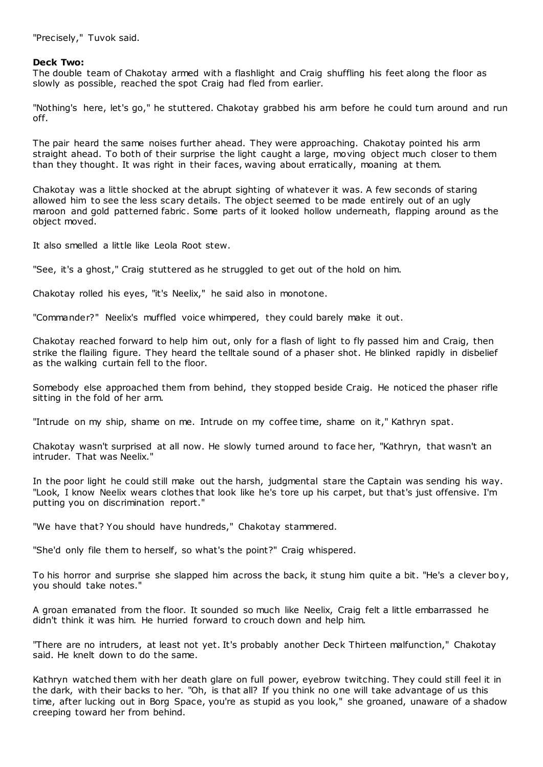"Precisely," Tuvok said.

# **Deck Two:**

The double team of Chakotay armed with a flashlight and Craig shuffling his feet along the floor as slowly as possible, reached the spot Craig had fled from earlier.

"Nothing's here, let's go," he stuttered. Chakotay grabbed his arm before he could turn around and run off.

The pair heard the same noises further ahead. They were approaching. Chakotay pointed his arm straight ahead. To both of their surprise the light caught a large, moving object much closer to them than they thought. It was right in their faces, waving about erratically, moaning at them.

Chakotay was a little shocked at the abrupt sighting of whatever it was. A few seconds of staring allowed him to see the less scary details. The object seemed to be made entirely out of an ugly maroon and gold patterned fabric. Some parts of it looked hollow underneath, flapping around as the object moved.

It also smelled a little like Leola Root stew.

"See, it's a ghost," Craig stuttered as he struggled to get out of the hold on him.

Chakotay rolled his eyes, "it's Neelix," he said also in monotone.

"Commander?" Neelix's muffled voice whimpered, they could barely make it out.

Chakotay reached forward to help him out, only for a flash of light to fly passed him and Craig, then strike the flailing figure. They heard the telltale sound of a phaser shot. He blinked rapidly in disbelief as the walking curtain fell to the floor.

Somebody else approached them from behind, they stopped beside Craig. He noticed the phaser rifle sitting in the fold of her arm.

"Intrude on my ship, shame on me. Intrude on my coffee time, shame on it," Kathryn spat.

Chakotay wasn't surprised at all now. He slowly turned around to face her, "Kathryn, that wasn't an intruder. That was Neelix."

In the poor light he could still make out the harsh, judgmental stare the Captain was sending his way. "Look, I know Neelix wears clothes that look like he's tore up his carpet, but that's just offensive. I'm putting you on discrimination report."

"We have that? You should have hundreds," Chakotay stammered.

"She'd only file them to herself, so what's the point?" Craig whispered.

To his horror and surprise she slapped him across the back, it stung him quite a bit. "He's a clever boy, you should take notes."

A groan emanated from the floor. It sounded so much like Neelix, Craig felt a little embarrassed he didn't think it was him. He hurried forward to crouch down and help him.

"There are no intruders, at least not yet. It's probably another Deck Thirteen malfunction," Chakotay said. He knelt down to do the same.

Kathryn watched them with her death glare on full power, eyebrow twitching. They could still feel it in the dark, with their backs to her. "Oh, is that all? If you think no one will take advantage of us this time, after lucking out in Borg Space, you're as stupid as you look," she groaned, unaware of a shadow creeping toward her from behind.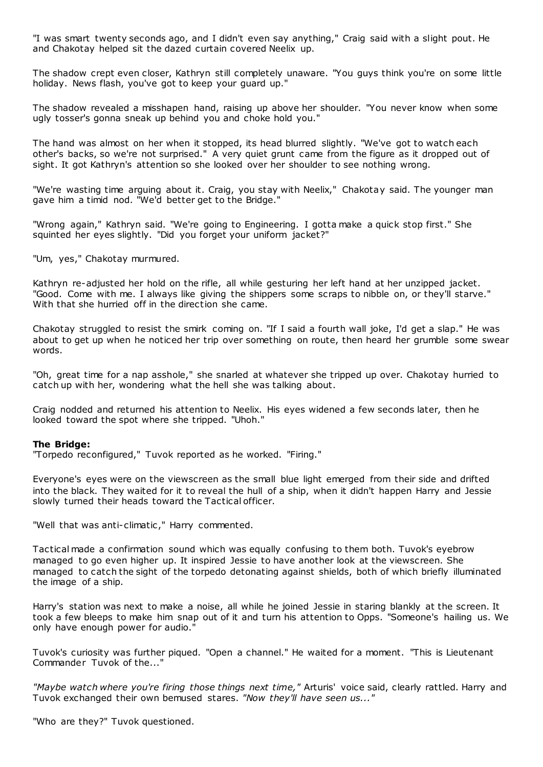"I was smart twenty seconds ago, and I didn't even say anything," Craig said with a slight pout. He and Chakotay helped sit the dazed curtain covered Neelix up.

The shadow crept even closer, Kathryn still completely unaware. "You guys think you're on some little holiday. News flash, you've got to keep your guard up."

The shadow revealed a misshapen hand, raising up above her shoulder. "You never know when some ugly tosser's gonna sneak up behind you and choke hold you."

The hand was almost on her when it stopped, its head blurred slightly. "We've got to watch each other's backs, so we're not surprised." A very quiet grunt came from the figure as it dropped out of sight. It got Kathryn's attention so she looked over her shoulder to see nothing wrong.

"We're wasting time arguing about it. Craig, you stay with Neelix," Chakotay said. The younger man gave him a timid nod. "We'd better get to the Bridge."

"Wrong again," Kathryn said. "We're going to Engineering. I gotta make a quick stop first." She squinted her eyes slightly. "Did you forget your uniform jacket?"

"Um, yes," Chakotay murmured.

Kathryn re-adjusted her hold on the rifle, all while gesturing her left hand at her unzipped jacket. "Good. Come with me. I always like giving the shippers some scraps to nibble on, or they'll starve." With that she hurried off in the direction she came.

Chakotay struggled to resist the smirk coming on. "If I said a fourth wall joke, I'd get a slap." He was about to get up when he noticed her trip over something on route, then heard her grumble some swear words.

"Oh, great time for a nap asshole," she snarled at whatever she tripped up over. Chakotay hurried to catch up with her, wondering what the hell she was talking about.

Craig nodded and returned his attention to Neelix. His eyes widened a few seconds later, then he looked toward the spot where she tripped. "Uhoh."

# **The Bridge:**

"Torpedo reconfigured," Tuvok reported as he worked. "Firing."

Everyone's eyes were on the viewscreen as the small blue light emerged from their side and drifted into the black. They waited for it to reveal the hull of a ship, when it didn't happen Harry and Jessie slowly turned their heads toward the Tactical officer.

"Well that was anti-climatic ," Harry commented.

Tactical made a confirmation sound which was equally confusing to them both. Tuvok's eyebrow managed to go even higher up. It inspired Jessie to have another look at the viewscreen. She managed to catch the sight of the torpedo detonating against shields, both of which briefly illuminated the image of a ship.

Harry's station was next to make a noise, all while he joined Jessie in staring blankly at the screen. It took a few bleeps to make him snap out of it and turn his attention to Opps. "Someone's hailing us. We only have enough power for audio."

Tuvok's curiosity was further piqued. "Open a channel." He waited for a moment. "This is Lieutenant Commander Tuvok of the..."

*"Maybe watch where you're firing those things next time,"* Arturis' voice said, clearly rattled. Harry and Tuvok exchanged their own bemused stares. *"Now they'll have seen us..."*

"Who are they?" Tuvok questioned.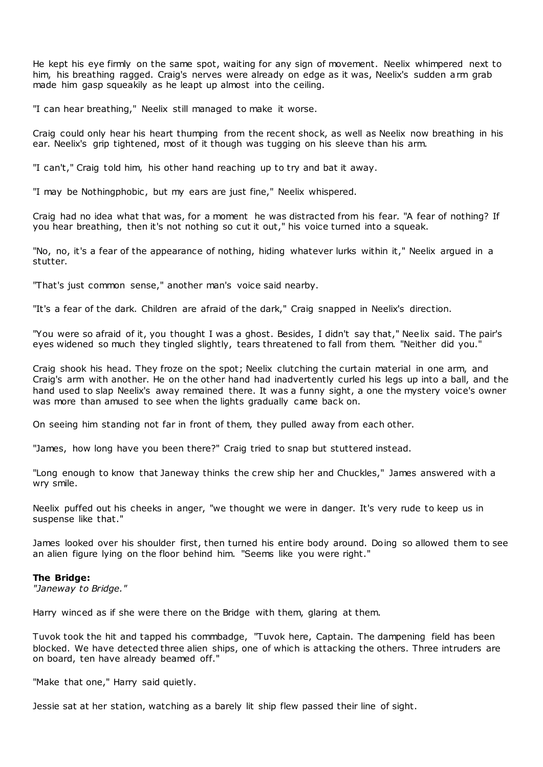He kept his eye firmly on the same spot, waiting for any sign of movement. Neelix whimpered next to him, his breathing ragged. Craig's nerves were already on edge as it was, Neelix's sudden arm grab made him gasp squeakily as he leapt up almost into the ceiling.

"I can hear breathing," Neelix still managed to make it worse.

Craig could only hear his heart thumping from the recent shock, as well as Neelix now breathing in his ear. Neelix's grip tightened, most of it though was tugging on his sleeve than his arm.

"I can't," Craig told him, his other hand reaching up to try and bat it away.

"I may be Nothingphobic , but my ears are just fine," Neelix whispered.

Craig had no idea what that was, for a moment he was distracted from his fear. "A fear of nothing? If you hear breathing, then it's not nothing so cut it out," his voice turned into a squeak.

"No, no, it's a fear of the appearance of nothing, hiding whatever lurks within it," Neelix argued in a stutter.

"That's just common sense," another man's voice said nearby.

"It's a fear of the dark. Children are afraid of the dark," Craig snapped in Neelix's direction.

"You were so afraid of it, you thought I was a ghost. Besides, I didn't say that," Neelix said. The pair's eyes widened so much they tingled slightly, tears threatened to fall from them. "Neither did you."

Craig shook his head. They froze on the spot; Neelix clutching the curtain material in one arm, and Craig's arm with another. He on the other hand had inadvertently curled his legs up into a ball, and the hand used to slap Neelix's away remained there. It was a funny sight, a one the mystery voice's owner was more than amused to see when the lights gradually came back on.

On seeing him standing not far in front of them, they pulled away from each other.

"James, how long have you been there?" Craig tried to snap but stuttered instead.

"Long enough to know that Janeway thinks the crew ship her and Chuckles," James answered with a wry smile.

Neelix puffed out his cheeks in anger, "we thought we were in danger. It's very rude to keep us in suspense like that."

James looked over his shoulder first, then turned his entire body around. Doing so allowed them to see an alien figure lying on the floor behind him. "Seems like you were right."

## **The Bridge:**

*"Janeway to Bridge."*

Harry winced as if she were there on the Bridge with them, glaring at them.

Tuvok took the hit and tapped his commbadge, "Tuvok here, Captain. The dampening field has been blocked. We have detected three alien ships, one of which is attacking the others. Three intruders are on board, ten have already beamed off."

"Make that one," Harry said quietly.

Jessie sat at her station, watching as a barely lit ship flew passed their line of sight.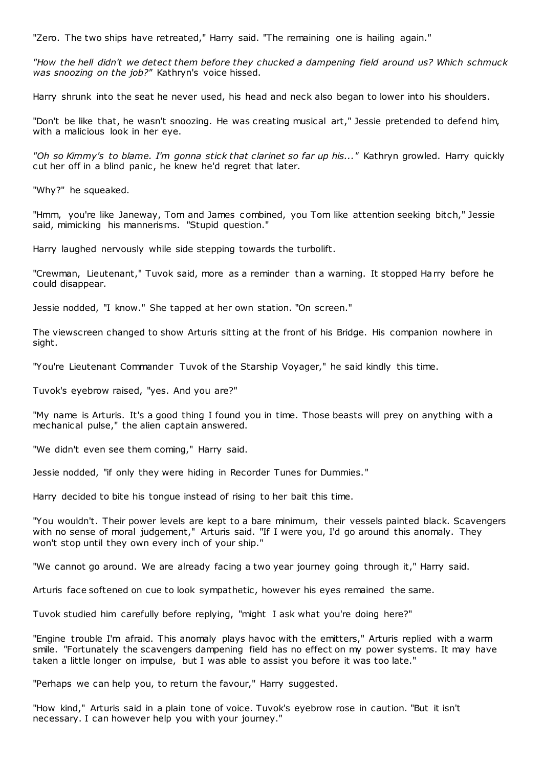"Zero. The two ships have retreated," Harry said. "The remaining one is hailing again."

*"How the hell didn't we detect them before they chucked a dampening field around us? Which schmuck was snoozing on the job?"* Kathryn's voice hissed.

Harry shrunk into the seat he never used, his head and neck also began to lower into his shoulders.

"Don't be like that, he wasn't snoozing. He was creating musical art," Jessie pretended to defend him, with a malicious look in her eye.

*"Oh so Kimmy's to blame. I'm gonna stick that clarinet so far up his..."* Kathryn growled. Harry quickly cut her off in a blind panic, he knew he'd regret that later.

"Why?" he squeaked.

"Hmm, you're like Janeway, Tom and James c ombined, you Tom like attention seeking bitch," Jessie said, mimicking his mannerisms. "Stupid question."

Harry laughed nervously while side stepping towards the turbolift.

"Crewman, Lieutenant," Tuvok said, more as a reminder than a warning. It stopped Harry before he could disappear.

Jessie nodded, "I know." She tapped at her own station. "On screen."

The viewscreen changed to show Arturis sitting at the front of his Bridge. His companion nowhere in sight.

"You're Lieutenant Commander Tuvok of the Starship Voyager," he said kindly this time.

Tuvok's eyebrow raised, "yes. And you are?"

"My name is Arturis. It's a good thing I found you in time. Those beasts will prey on anything with a mechanical pulse," the alien captain answered.

"We didn't even see them coming," Harry said.

Jessie nodded, "if only they were hiding in Recorder Tunes for Dummies."

Harry decided to bite his tongue instead of rising to her bait this time.

"You wouldn't. Their power levels are kept to a bare minimum, their vessels painted black. Scavengers with no sense of moral judgement," Arturis said. "If I were you, I'd go around this anomaly. They won't stop until they own every inch of your ship."

"We cannot go around. We are already facing a two year journey going through it," Harry said.

Arturis face softened on cue to look sympathetic, however his eyes remained the same.

Tuvok studied him carefully before replying, "might I ask what you're doing here?"

"Engine trouble I'm afraid. This anomaly plays havoc with the emitters," Arturis replied with a warm smile. "Fortunately the scavengers dampening field has no effect on my power systems. It may have taken a little longer on impulse, but I was able to assist you before it was too late."

"Perhaps we can help you, to return the favour," Harry suggested.

"How kind," Arturis said in a plain tone of voice. Tuvok's eyebrow rose in caution. "But it isn't necessary. I can however help you with your journey."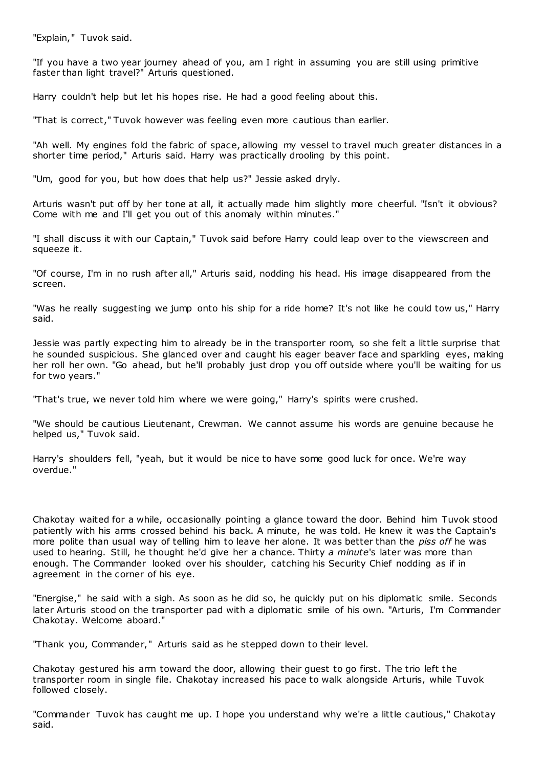"Explain," Tuvok said.

"If you have a two year journey ahead of you, am I right in assuming you are still using primitive faster than light travel?" Arturis questioned.

Harry couldn't help but let his hopes rise. He had a good feeling about this.

"That is correct," Tuvok however was feeling even more cautious than earlier.

"Ah well. My engines fold the fabric of space, allowing my vessel to travel much greater distances in a shorter time period," Arturis said. Harry was practically drooling by this point.

"Um, good for you, but how does that help us?" Jessie asked dryly.

Arturis wasn't put off by her tone at all, it actually made him slightly more cheerful. "Isn't it obvious? Come with me and I'll get you out of this anomaly within minutes."

"I shall discuss it with our Captain," Tuvok said before Harry could leap over to the viewscreen and squeeze it.

"Of course, I'm in no rush after all," Arturis said, nodding his head. His image disappeared from the screen.

"Was he really suggesting we jump onto his ship for a ride home? It's not like he could tow us," Harry said.

Jessie was partly expecting him to already be in the transporter room, so she felt a little surprise that he sounded suspicious. She glanced over and caught his eager beaver face and sparkling eyes, making her roll her own. "Go ahead, but he'll probably just drop you off outside where you'll be waiting for us for two years."

"That's true, we never told him where we were going," Harry's spirits were crushed.

"We should be cautious Lieutenant, Crewman. We cannot assume his words are genuine because he helped us," Tuvok said.

Harry's shoulders fell, "yeah, but it would be nice to have some good luck for once. We're way overdue."

Chakotay waited for a while, occasionally pointing a glance toward the door. Behind him Tuvok stood patiently with his arms crossed behind his back. A minute, he was told. He knew it was the Captain's more polite than usual way of telling him to leave her alone. It was better than the *piss off* he was used to hearing. Still, he thought he'd give her a chance. Thirty *a minute*'s later was more than enough. The Commander looked over his shoulder, catching his Security Chief nodding as if in agreement in the corner of his eye.

"Energise," he said with a sigh. As soon as he did so, he quickly put on his diplomatic smile. Seconds later Arturis stood on the transporter pad with a diplomatic smile of his own. "Arturis, I'm Commander Chakotay. Welcome aboard."

"Thank you, Commander," Arturis said as he stepped down to their level.

Chakotay gestured his arm toward the door, allowing their guest to go first. The trio left the transporter room in single file. Chakotay increased his pace to walk alongside Arturis, while Tuvok followed closely.

"Commander Tuvok has caught me up. I hope you understand why we're a little cautious," Chakotay said.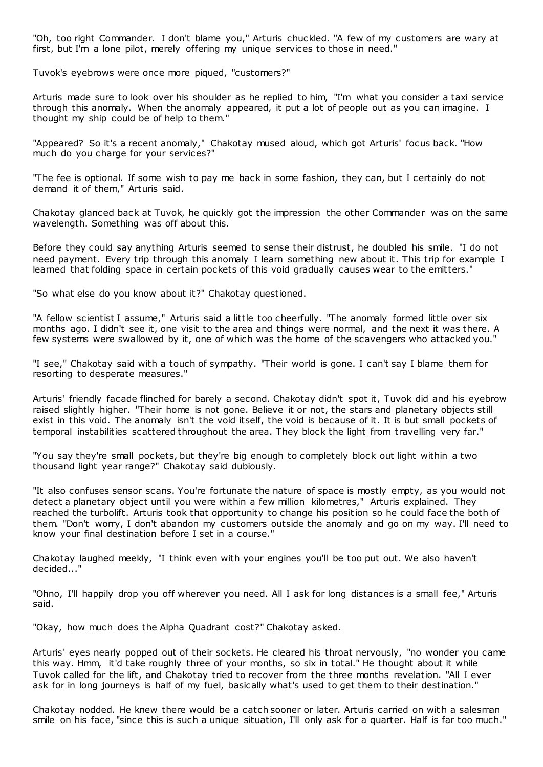"Oh, too right Commander. I don't blame you," Arturis chuckled. "A few of my customers are wary at first, but I'm a lone pilot, merely offering my unique services to those in need."

Tuvok's eyebrows were once more piqued, "customers?"

Arturis made sure to look over his shoulder as he replied to him, "I'm what you consider a taxi service through this anomaly. When the anomaly appeared, it put a lot of people out as you can imagine. I thought my ship could be of help to them."

"Appeared? So it's a recent anomaly," Chakotay mused aloud, which got Arturis' focus back. "How much do you charge for your services?"

"The fee is optional. If some wish to pay me back in some fashion, they can, but I certainly do not demand it of them," Arturis said.

Chakotay glanced back at Tuvok, he quickly got the impression the other Commander was on the same wavelength. Something was off about this.

Before they could say anything Arturis seemed to sense their distrust, he doubled his smile. "I do not need payment. Every trip through this anomaly I learn something new about it. This trip for example I learned that folding space in certain pockets of this void gradually causes wear to the emitters."

"So what else do you know about it?" Chakotay questioned.

"A fellow scientist I assume," Arturis said a little too cheerfully. "The anomaly formed little over six months ago. I didn't see it, one visit to the area and things were normal, and the next it was there. A few systems were swallowed by it, one of which was the home of the scavengers who attacked you."

"I see," Chakotay said with a touch of sympathy. "Their world is gone. I can't say I blame them for resorting to desperate measures."

Arturis' friendly facade flinched for barely a second. Chakotay didn't spot it, Tuvok did and his eyebrow raised slightly higher. "Their home is not gone. Believe it or not, the stars and planetary objects still exist in this void. The anomaly isn't the void itself, the void is because of it. It is but small pockets of temporal instabilities scattered throughout the area. They block the light from travelling very far."

"You say they're small pockets, but they're big enough to completely block out light within a two thousand light year range?" Chakotay said dubiously.

"It also confuses sensor scans. You're fortunate the nature of space is mostly empty, as you would not detect a planetary object until you were within a few million kilometres," Arturis explained. They reached the turbolift. Arturis took that opportunity to change his position so he could face the both of them. "Don't worry, I don't abandon my customers outside the anomaly and go on my way. I'll need to know your final destination before I set in a course."

Chakotay laughed meekly, "I think even with your engines you'll be too put out. We also haven't decided..."

"Ohno, I'll happily drop you off wherever you need. All I ask for long distances is a small fee," Arturis said.

"Okay, how much does the Alpha Quadrant cost?" Chakotay asked.

Arturis' eyes nearly popped out of their sockets. He cleared his throat nervously, "no wonder you came this way. Hmm, it'd take roughly three of your months, so six in total." He thought about it while Tuvok called for the lift, and Chakotay tried to recover from the three months revelation. "All I ever ask for in long journeys is half of my fuel, basically what's used to get them to their destination."

Chakotay nodded. He knew there would be a catch sooner or later. Arturis carried on wit h a salesman smile on his face, "since this is such a unique situation, I'll only ask for a quarter. Half is far too much."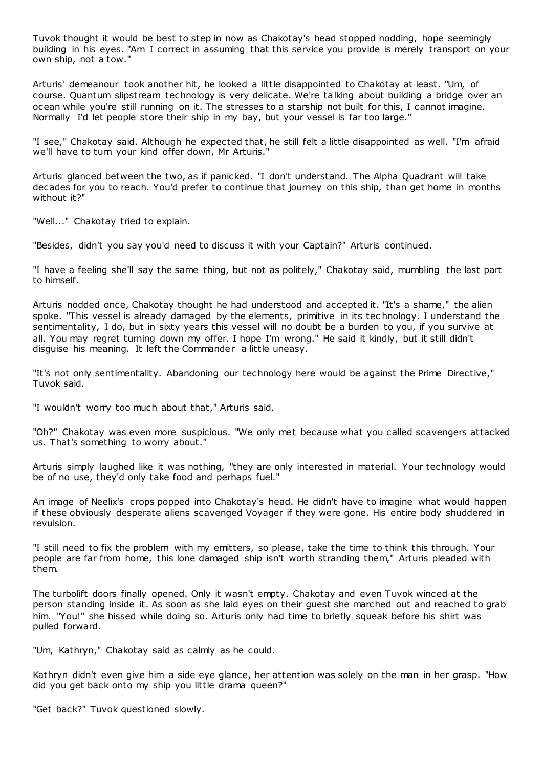Tuvok thought it would be best to step in now as Chakotay's head stopped nodding, hope seemingly building in his eyes. "Am I correct in assuming that this service you provide is merely transport on your own ship, not a tow."

Arturis' demeanour took another hit, he looked a little disappointed to Chakotay at least. "Um, of course. Quantum slipstream technology is very delicate. We're talking about building a bridge over an ocean while you're still running on it. The stresses to a starship not built for this, I cannot imagine. Normally I'd let people store their ship in my bay, but your vessel is far too large."

"I see," Chakotay said. Although he expected that, he still felt a little disappointed as well. "I'm afraid we'll have to turn your kind offer down, Mr Arturis."

Arturis glanced between the two, as if panicked. "I don't understand. The Alpha Quadrant will take decades for you to reach. You'd prefer to continue that journey on this ship, than get home in months without it?"

"Well..." Chakotay tried to explain.

"Besides, didn't you say you'd need to discuss it with your Captain?" Arturis continued.

"I have a feeling she'll say the same thing, but not as politely," Chakotay said, mumbling the last part to himself.

Arturis nodded once, Chakotay thought he had understood and accepted it. "It's a shame," the alien spoke. "This vessel is already damaged by the elements, primitive in its tec hnology. I understand the sentimentality, I do, but in sixty years this vessel will no doubt be a burden to you, if you survive at all. You may regret turning down my offer. I hope I'm wrong." He said it kindly, but it still didn't disguise his meaning. It left the Commander a little uneasy.

"It's not only sentimentality. Abandoning our technology here would be against the Prime Directive," Tuvok said.

"I wouldn't worry too much about that," Arturis said.

"Oh?" Chakotay was even more suspicious. "We only met because what you called scavengers attacked us. That's something to worry about."

Arturis simply laughed like it was nothing, "they are only interested in material. Your technology would be of no use, they'd only take food and perhaps fuel."

An image of Neelix's crops popped into Chakotay's head. He didn't have to imagine what would happen if these obviously desperate aliens scavenged Voyager if they were gone. His entire body shuddered in revulsion.

"I still need to fix the problem with my emitters, so please, take the time to think this through. Your people are far from home, this lone damaged ship isn't worth stranding them," Arturis pleaded with them.

The turbolift doors finally opened. Only it wasn't empty. Chakotay and even Tuvok winced at the person standing inside it. As soon as she laid eyes on their guest she marched out and reached to grab him. "You!" she hissed while doing so. Arturis only had time to briefly squeak before his shirt was pulled forward.

"Um, Kathryn," Chakotay said as calmly as he could.

Kathryn didn't even give him a side eye glance, her attention was solely on the man in her grasp. "How did you get back onto my ship you little drama queen?"

"Get back?" Tuvok questioned slowly.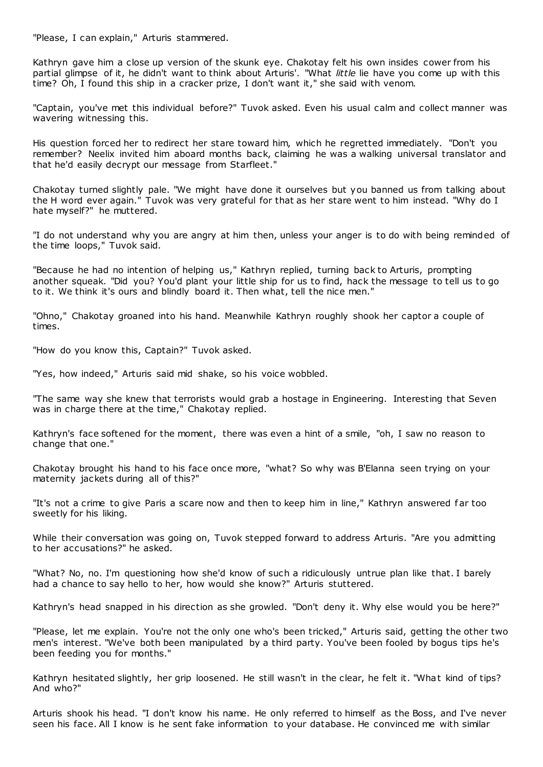"Please, I can explain," Arturis stammered.

Kathryn gave him a close up version of the skunk eye. Chakotay felt his own insides cower from his partial glimpse of it, he didn't want to think about Arturis'. "What *little* lie have you come up with this time? Oh, I found this ship in a cracker prize, I don't want it," she said with venom.

"Captain, you've met this individual before?" Tuvok asked. Even his usual calm and collect manner was wavering witnessing this.

His question forced her to redirect her stare toward him, which he regretted immediately. "Don't you remember? Neelix invited him aboard months back, claiming he was a walking universal translator and that he'd easily decrypt our message from Starfleet."

Chakotay turned slightly pale. "We might have done it ourselves but you banned us from talking about the H word ever again." Tuvok was very grateful for that as her stare went to him instead. "Why do I hate myself?" he muttered.

"I do not understand why you are angry at him then, unless your anger is to do with being reminded of the time loops," Tuvok said.

"Because he had no intention of helping us," Kathryn replied, turning back to Arturis, prompting another squeak. "Did you? You'd plant your little ship for us to find, hack the message to tell us to go to it. We think it's ours and blindly board it. Then what, tell the nice men."

"Ohno," Chakotay groaned into his hand. Meanwhile Kathryn roughly shook her captor a couple of times.

"How do you know this, Captain?" Tuvok asked.

"Yes, how indeed," Arturis said mid shake, so his voice wobbled.

"The same way she knew that terrorists would grab a hostage in Engineering. Interesting that Seven was in charge there at the time," Chakotay replied.

Kathryn's face softened for the moment, there was even a hint of a smile, "oh, I saw no reason to change that one."

Chakotay brought his hand to his face once more, "what? So why was B'Elanna seen trying on your maternity jackets during all of this?"

"It's not a crime to give Paris a scare now and then to keep him in line," Kathryn answered far too sweetly for his liking.

While their conversation was going on, Tuvok stepped forward to address Arturis. "Are you admitting to her accusations?" he asked.

"What? No, no. I'm questioning how she'd know of such a ridiculously untrue plan like that. I barely had a chance to say hello to her, how would she know?" Arturis stuttered.

Kathryn's head snapped in his direction as she growled. "Don't deny it. Why else would you be here?"

"Please, let me explain. You're not the only one who's been tricked," Arturis said, getting the other two men's interest. "We've both been manipulated by a third party. You've been fooled by bogus tips he's been feeding you for months."

Kathryn hesitated slightly, her grip loosened. He still wasn't in the clear, he felt it. "What kind of tips? And who?"

Arturis shook his head. "I don't know his name. He only referred to himself as the Boss, and I've never seen his face. All I know is he sent fake information to your database. He convinced me with similar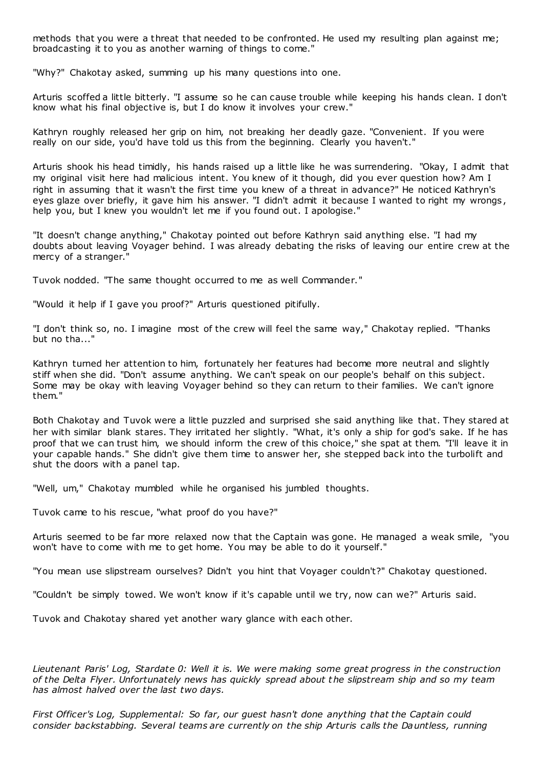methods that you were a threat that needed to be confronted. He used my resulting plan against me; broadcasting it to you as another warning of things to come."

"Why?" Chakotay asked, summing up his many questions into one.

Arturis scoffed a little bitterly. "I assume so he can cause trouble while keeping his hands clean. I don't know what his final objective is, but I do know it involves your crew."

Kathryn roughly released her grip on him, not breaking her deadly gaze. "Convenient. If you were really on our side, you'd have told us this from the beginning. Clearly you haven't."

Arturis shook his head timidly, his hands raised up a little like he was surrendering. "Okay, I admit that my original visit here had malicious intent. You knew of it though, did you ever question how? Am I right in assuming that it wasn't the first time you knew of a threat in advance?" He noticed Kathryn's eyes glaze over briefly, it gave him his answer. "I didn't admit it because I wanted to right my wrongs , help you, but I knew you wouldn't let me if you found out. I apologise."

"It doesn't change anything," Chakotay pointed out before Kathryn said anything else. "I had my doubts about leaving Voyager behind. I was already debating the risks of leaving our entire crew at the mercy of a stranger."

Tuvok nodded. "The same thought occurred to me as well Commander."

"Would it help if I gave you proof?" Arturis questioned pitifully.

"I don't think so, no. I imagine most of the crew will feel the same way," Chakotay replied. "Thanks but no tha..."

Kathryn turned her attention to him, fortunately her features had become more neutral and slightly stiff when she did. "Don't assume anything. We can't speak on our people's behalf on this subject. Some may be okay with leaving Voyager behind so they can return to their families. We can't ignore them."

Both Chakotay and Tuvok were a little puzzled and surprised she said anything like that. They stared at her with similar blank stares. They irritated her slightly. "What, it's only a ship for god's sake. If he has proof that we can trust him, we should inform the crew of this choice," she spat at them. "I'll leave it in your capable hands." She didn't give them time to answer her, she stepped back into the turbolift and shut the doors with a panel tap.

"Well, um," Chakotay mumbled while he organised his jumbled thoughts.

Tuvok came to his rescue, "what proof do you have?"

Arturis seemed to be far more relaxed now that the Captain was gone. He managed a weak smile, "you won't have to come with me to get home. You may be able to do it yourself."

"You mean use slipstream ourselves? Didn't you hint that Voyager couldn't?" Chakotay questioned.

"Couldn't be simply towed. We won't know if it's capable until we try, now can we?" Arturis said.

Tuvok and Chakotay shared yet another wary glance with each other.

*Lieutenant Paris' Log, Stardate 0: Well it is. We were making some great progress in the construction of the Delta Flyer. Unfortunately news has quickly spread about the slipstream ship and so my team has almost halved over the last two days.*

*First Officer's Log, Supplemental: So far, our guest hasn't done anything that the Captain could consider backstabbing. Several teams are currently on the ship Arturis calls the Dauntless, running*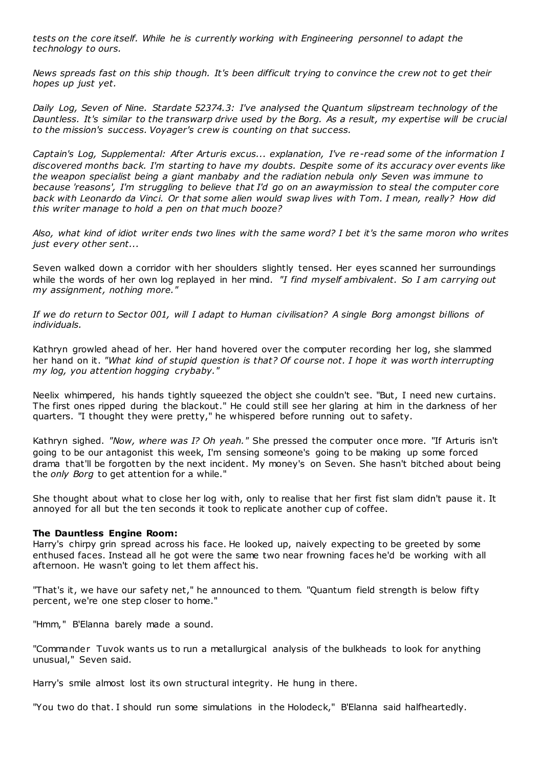*tests on the core itself. While he is currently working with Engineering personnel to adapt the technology to ours.*

*News spreads fast on this ship though. It's been difficult trying to convince the crew not to get their hopes up just yet.*

*Daily Log, Seven of Nine. Stardate 52374.3: I've analysed the Quantum slipstream technology of the Dauntless. It's similar to the transwarp drive used by the Borg. As a result, my expertise will be crucial to the mission's success. Voyager's crew is counting on that success.*

*Captain's Log, Supplemental: After Arturis excus... explanation, I've re-read some of the information I discovered months back. I'm starting to have my doubts. Despite some of its accuracy over events like the weapon specialist being a giant manbaby and the radiation nebula only Seven was immune to because 'reasons', I'm struggling to believe that I'd go on an awaymission to steal the computer core back with Leonardo da Vinci. Or that some alien would swap lives with Tom. I mean, really? How did this writer manage to hold a pen on that much booze?*

*Also, what kind of idiot writer ends two lines with the same word? I bet it's the same moron who writes just every other sent...*

Seven walked down a corridor with her shoulders slightly tensed. Her eyes scanned her surroundings while the words of her own log replayed in her mind. *"I find myself ambivalent. So I am carrying out my assignment, nothing more."*

*If we do return to Sector 001, will I adapt to Human civilisation? A single Borg amongst billions of individuals.*

Kathryn growled ahead of her. Her hand hovered over the computer recording her log, she slammed her hand on it. *"What kind of stupid question is that? Of course not. I hope it was worth interrupting my log, you attention hogging crybaby."*

Neelix whimpered, his hands tightly squeezed the object she couldn't see. "But, I need new curtains. The first ones ripped during the blackout." He could still see her glaring at him in the darkness of her quarters. "I thought they were pretty," he whispered before running out to safety.

Kathryn sighed. *"Now, where was I? Oh yeah."* She pressed the computer once more. "If Arturis isn't going to be our antagonist this week, I'm sensing someone's going to be making up some forced drama that'll be forgotten by the next incident. My money's on Seven. She hasn't bitched about being the *only Borg* to get attention for a while."

She thought about what to close her log with, only to realise that her first fist slam didn't pause it. It annoyed for all but the ten seconds it took to replicate another cup of coffee.

# **The Dauntless Engine Room:**

Harry's chirpy grin spread across his face. He looked up, naively expecting to be greeted by some enthused faces. Instead all he got were the same two near frowning faces he'd be working with all afternoon. He wasn't going to let them affect his.

"That's it, we have our safety net," he announced to them. "Quantum field strength is below fifty percent, we're one step closer to home."

"Hmm," B'Elanna barely made a sound.

"Commander Tuvok wants us to run a metallurgical analysis of the bulkheads to look for anything unusual," Seven said.

Harry's smile almost lost its own structural integrity. He hung in there.

"You two do that. I should run some simulations in the Holodeck," B'Elanna said halfheartedly.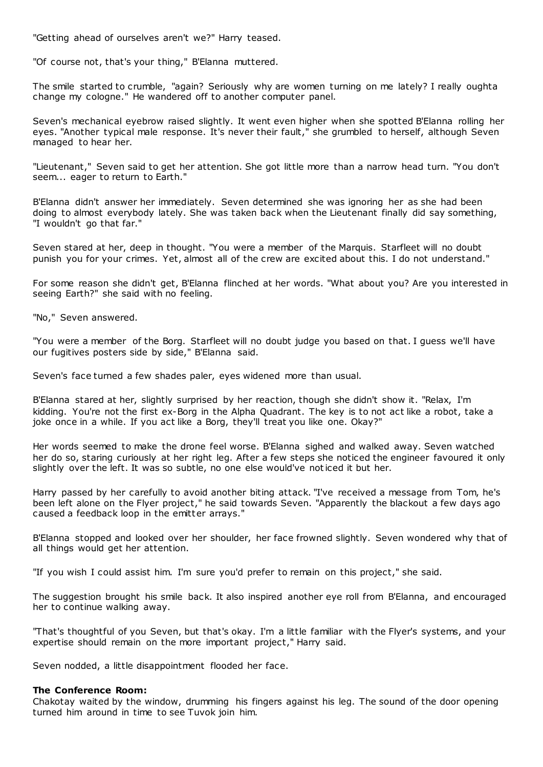"Getting ahead of ourselves aren't we?" Harry teased.

"Of course not, that's your thing," B'Elanna muttered.

The smile started to crumble, "again? Seriously why are women turning on me lately? I really oughta change my cologne." He wandered off to another computer panel.

Seven's mechanical eyebrow raised slightly. It went even higher when she spotted B'Elanna rolling her eyes. "Another typical male response. It's never their fault," she grumbled to herself, although Seven managed to hear her.

"Lieutenant," Seven said to get her attention. She got little more than a narrow head turn. "You don't seem... eager to return to Earth."

B'Elanna didn't answer her immediately. Seven determined she was ignoring her as she had been doing to almost everybody lately. She was taken back when the Lieutenant finally did say something, "I wouldn't go that far."

Seven stared at her, deep in thought. "You were a member of the Marquis. Starfleet will no doubt punish you for your crimes. Yet, almost all of the crew are excited about this. I do not understand."

For some reason she didn't get, B'Elanna flinched at her words. "What about you? Are you interested in seeing Earth?" she said with no feeling.

"No," Seven answered.

"You were a member of the Borg. Starfleet will no doubt judge you based on that. I guess we'll have our fugitives posters side by side," B'Elanna said.

Seven's face turned a few shades paler, eyes widened more than usual.

B'Elanna stared at her, slightly surprised by her reaction, though she didn't show it. "Relax, I'm kidding. You're not the first ex-Borg in the Alpha Quadrant. The key is to not act like a robot, take a joke once in a while. If you act like a Borg, they'll treat you like one. Okay?"

Her words seemed to make the drone feel worse. B'Elanna sighed and walked away. Seven watched her do so, staring curiously at her right leg. After a few steps she noticed the engineer favoured it only slightly over the left. It was so subtle, no one else would've noticed it but her.

Harry passed by her carefully to avoid another biting attack. "I've received a message from Tom, he's been left alone on the Flyer project," he said towards Seven. "Apparently the blackout a few days ago caused a feedback loop in the emitter arrays."

B'Elanna stopped and looked over her shoulder, her face frowned slightly. Seven wondered why that of all things would get her attention.

"If you wish I could assist him. I'm sure you'd prefer to remain on this project," she said.

The suggestion brought his smile back. It also inspired another eye roll from B'Elanna, and encouraged her to continue walking away.

"That's thoughtful of you Seven, but that's okay. I'm a little familiar with the Flyer's systems, and your expertise should remain on the more important project," Harry said.

Seven nodded, a little disappointment flooded her face.

## **The Conference Room:**

Chakotay waited by the window, drumming his fingers against his leg. The sound of the door opening turned him around in time to see Tuvok join him.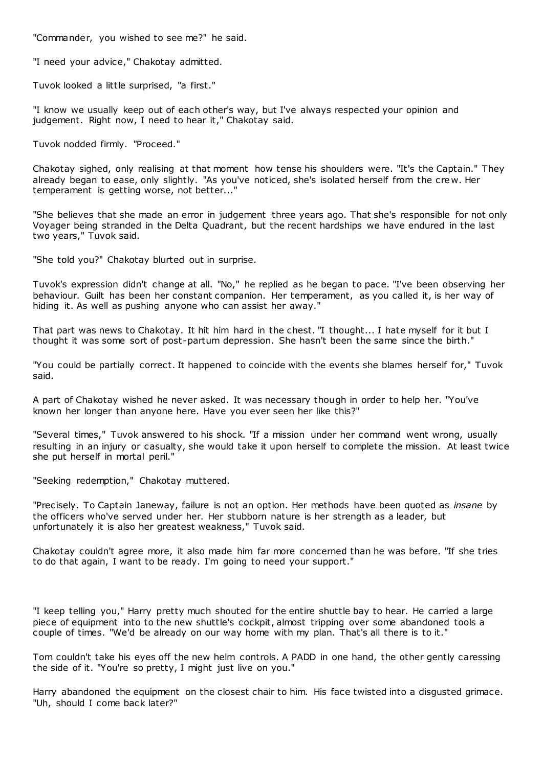"Commander, you wished to see me?" he said.

"I need your advice," Chakotay admitted.

Tuvok looked a little surprised, "a first."

"I know we usually keep out of each other's way, but I've always respected your opinion and judgement. Right now, I need to hear it," Chakotay said.

Tuvok nodded firmly. "Proceed."

Chakotay sighed, only realising at that moment how tense his shoulders were. "It's the Captain." They already began to ease, only slightly. "As you've noticed, she's isolated herself from the cre w. Her temperament is getting worse, not better..."

"She believes that she made an error in judgement three years ago. That she's responsible for not only Voyager being stranded in the Delta Quadrant, but the recent hardships we have endured in the last two years," Tuvok said.

"She told you?" Chakotay blurted out in surprise.

Tuvok's expression didn't change at all. "No," he replied as he began to pace. "I've been observing her behaviour. Guilt has been her constant companion. Her temperament, as you called it, is her way of hiding it. As well as pushing anyone who can assist her away."

That part was news to Chakotay. It hit him hard in the chest. "I thought... I hate myself for it but I thought it was some sort of post-partum depression. She hasn't been the same since the birth."

"You could be partially correct. It happened to coincide with the events she blames herself for," Tuvok said.

A part of Chakotay wished he never asked. It was necessary though in order to help her. "You've known her longer than anyone here. Have you ever seen her like this?"

"Several times," Tuvok answered to his shock. "If a mission under her command went wrong, usually resulting in an injury or casualty, she would take it upon herself to complete the mission. At least twice she put herself in mortal peril."

"Seeking redemption," Chakotay muttered.

"Precisely. To Captain Janeway, failure is not an option. Her methods have been quoted as *insane* by the officers who've served under her. Her stubborn nature is her strength as a leader, but unfortunately it is also her greatest weakness," Tuvok said.

Chakotay couldn't agree more, it also made him far more concerned than he was before. "If she tries to do that again, I want to be ready. I'm going to need your support."

"I keep telling you," Harry pretty much shouted for the entire shuttle bay to hear. He carried a large piece of equipment into to the new shuttle's cockpit, almost tripping over some abandoned tools a couple of times. "We'd be already on our way home with my plan. That's all there is to it."

Tom couldn't take his eyes off the new helm controls. A PADD in one hand, the other gently caressing the side of it. "You're so pretty, I might just live on you."

Harry abandoned the equipment on the closest chair to him. His face twisted into a disgusted grimace. "Uh, should I come back later?"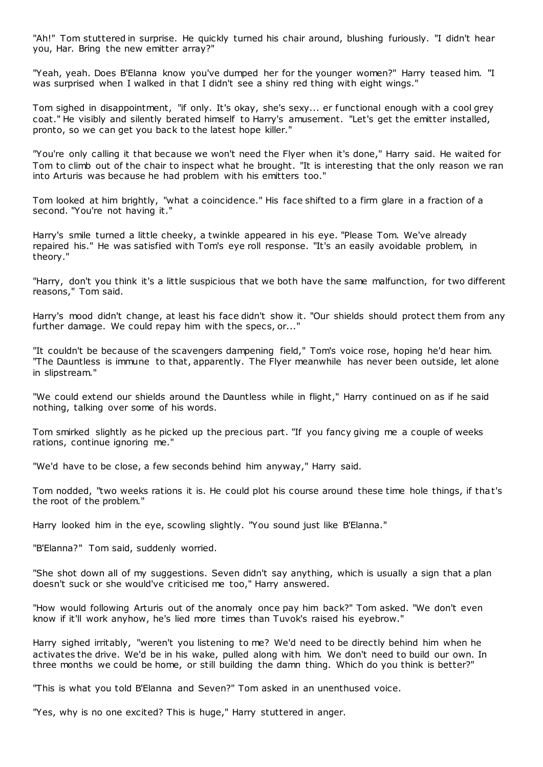"Ah!" Tom stuttered in surprise. He quickly turned his chair around, blushing furiously. "I didn't hear you, Har. Bring the new emitter array?"

"Yeah, yeah. Does B'Elanna know you've dumped her for the younger women?" Harry teased him. "I was surprised when I walked in that I didn't see a shiny red thing with eight wings."

Tom sighed in disappointment, "if only. It's okay, she's sexy... er functional enough with a cool grey coat." He visibly and silently berated himself to Harry's amusement. "Let's get the emitter installed, pronto, so we can get you back to the latest hope killer."

"You're only calling it that because we won't need the Flyer when it's done," Harry said. He waited for Tom to climb out of the chair to inspect what he brought. "It is interesting that the only reason we ran into Arturis was because he had problem with his emitters too."

Tom looked at him brightly, "what a coincidence." His face shifted to a firm glare in a fraction of a second. "You're not having it."

Harry's smile turned a little cheeky, a twinkle appeared in his eye. "Please Tom. We've already repaired his." He was satisfied with Tom's eye roll response. "It's an easily avoidable problem, in theory."

"Harry, don't you think it's a little suspicious that we both have the same malfunction, for two different reasons," Tom said.

Harry's mood didn't change, at least his face didn't show it. "Our shields should protect them from any further damage. We could repay him with the specs, or..."

"It couldn't be because of the scavengers dampening field," Tom's voice rose, hoping he'd hear him. "The Dauntless is immune to that, apparently. The Flyer meanwhile has never been outside, let alone in slipstream."

"We could extend our shields around the Dauntless while in flight," Harry continued on as if he said nothing, talking over some of his words.

Tom smirked slightly as he picked up the precious part. "If you fancy giving me a couple of weeks rations, continue ignoring me."

"We'd have to be close, a few seconds behind him anyway," Harry said.

Tom nodded, "two weeks rations it is. He could plot his course around these time hole things, if that's the root of the problem."

Harry looked him in the eye, scowling slightly. "You sound just like B'Elanna."

"B'Elanna?" Tom said, suddenly worried.

"She shot down all of my suggestions. Seven didn't say anything, which is usually a sign that a plan doesn't suck or she would've criticised me too," Harry answered.

"How would following Arturis out of the anomaly once pay him back?" Tom asked. "We don't even know if it'll work anyhow, he's lied more times than Tuvok's raised his eyebrow."

Harry sighed irritably, "weren't you listening to me? We'd need to be directly behind him when he activates the drive. We'd be in his wake, pulled along with him. We don't need to build our own. In three months we could be home, or still building the damn thing. Which do you think is better?"

"This is what you told B'Elanna and Seven?" Tom asked in an unenthused voice.

"Yes, why is no one excited? This is huge," Harry stuttered in anger.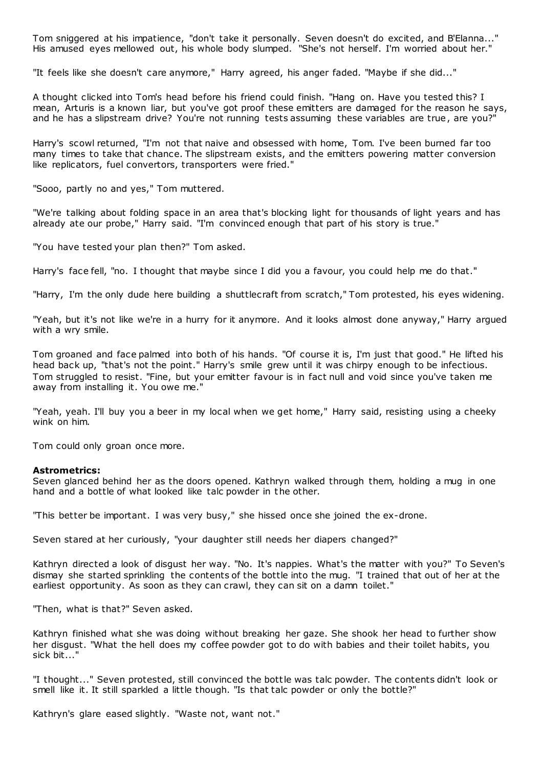Tom sniggered at his impatience, "don't take it personally. Seven doesn't do excited, and B'Elanna..." His amused eyes mellowed out, his whole body slumped. "She's not herself. I'm worried about her."

"It feels like she doesn't care anymore," Harry agreed, his anger faded. "Maybe if she did..."

A thought clicked into Tom's head before his friend could finish. "Hang on. Have you tested this? I mean, Arturis is a known liar, but you've got proof these emitters are damaged for the reason he says, and he has a slipstream drive? You're not running tests assuming these variables are true, are you?"

Harry's scowl returned, "I'm not that naive and obsessed with home, Tom. I've been burned far too many times to take that chance. The slipstream exists, and the emitters powering matter conversion like replicators, fuel convertors, transporters were fried."

"Sooo, partly no and yes," Tom muttered.

"We're talking about folding space in an area that's blocking light for thousands of light years and has already ate our probe," Harry said. "I'm convinced enough that part of his story is true."

"You have tested your plan then?" Tom asked.

Harry's face fell, "no. I thought that maybe since I did you a favour, you could help me do that."

"Harry, I'm the only dude here building a shuttlecraft from scratch," Tom protested, his eyes widening.

"Yeah, but it's not like we're in a hurry for it anymore. And it looks almost done anyway," Harry argued with a wry smile.

Tom groaned and face palmed into both of his hands. "Of course it is, I'm just that good." He lifted his head back up, "that's not the point." Harry's smile grew until it was chirpy enough to be infectious. Tom struggled to resist. "Fine, but your emitter favour is in fact null and void since you've taken me away from installing it. You owe me."

"Yeah, yeah. I'll buy you a beer in my local when we get home," Harry said, resisting using a cheeky wink on him.

Tom could only groan once more.

## **Astrometrics:**

Seven glanced behind her as the doors opened. Kathryn walked through them, holding a mug in one hand and a bottle of what looked like talc powder in the other.

"This better be important. I was very busy," she hissed once she joined the ex-drone.

Seven stared at her curiously, "your daughter still needs her diapers changed?"

Kathryn directed a look of disgust her way. "No. It's nappies. What's the matter with you?" To Seven's dismay she started sprinkling the contents of the bottle into the mug. "I trained that out of her at the earliest opportunity. As soon as they can crawl, they can sit on a damn toilet."

"Then, what is that?" Seven asked.

Kathryn finished what she was doing without breaking her gaze. She shook her head to further show her disgust. "What the hell does my coffee powder got to do with babies and their toilet habits, you sick bit..."

"I thought..." Seven protested, still convinced the bottle was talc powder. The contents didn't look or smell like it. It still sparkled a little though. "Is that talc powder or only the bottle?"

Kathryn's glare eased slightly. "Waste not, want not."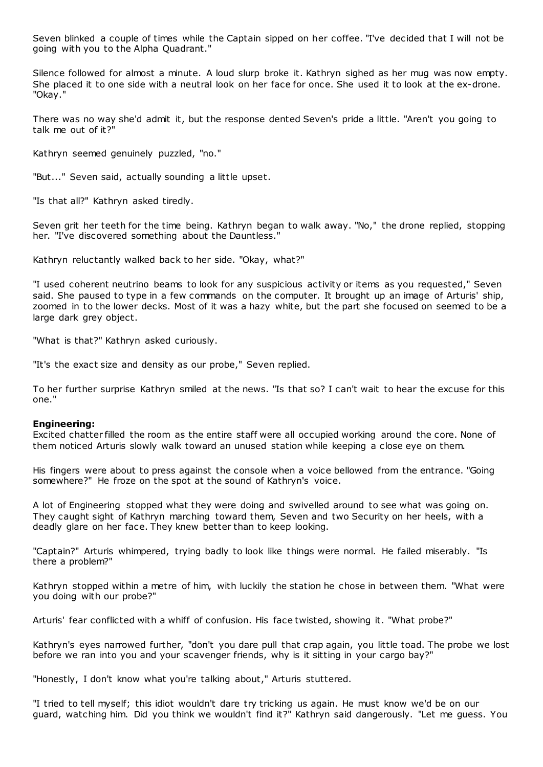Seven blinked a couple of times while the Captain sipped on her coffee. "I've decided that I will not be going with you to the Alpha Quadrant."

Silence followed for almost a minute. A loud slurp broke it. Kathryn sighed as her mug was now empty. She placed it to one side with a neutral look on her face for once. She used it to look at the ex-drone. "Okay."

There was no way she'd admit it, but the response dented Seven's pride a little. "Aren't you going to talk me out of it?"

Kathryn seemed genuinely puzzled, "no."

"But..." Seven said, actually sounding a little upset.

"Is that all?" Kathryn asked tiredly.

Seven grit her teeth for the time being. Kathryn began to walk away. "No," the drone replied, stopping her. "I've discovered something about the Dauntless."

Kathryn reluctantly walked back to her side. "Okay, what?"

"I used coherent neutrino beams to look for any suspicious activity or items as you requested," Seven said. She paused to type in a few commands on the computer. It brought up an image of Arturis' ship, zoomed in to the lower decks. Most of it was a hazy white, but the part she focused on seemed to be a large dark grey object.

"What is that?" Kathryn asked curiously.

"It's the exact size and density as our probe," Seven replied.

To her further surprise Kathryn smiled at the news. "Is that so? I can't wait to hear the excuse for this one."

## **Engineering:**

Excited chatter filled the room as the entire staff were all occupied working around the core. None of them noticed Arturis slowly walk toward an unused station while keeping a close eye on them.

His fingers were about to press against the console when a voice bellowed from the entrance. "Going somewhere?" He froze on the spot at the sound of Kathryn's voice.

A lot of Engineering stopped what they were doing and swivelled around to see what was going on. They caught sight of Kathryn marching toward them, Seven and two Security on her heels, with a deadly glare on her face. They knew better than to keep looking.

"Captain?" Arturis whimpered, trying badly to look like things were normal. He failed miserably. "Is there a problem?"

Kathryn stopped within a metre of him, with luckily the station he chose in between them. "What were you doing with our probe?"

Arturis' fear conflicted with a whiff of confusion. His face twisted, showing it. "What probe?"

Kathryn's eyes narrowed further, "don't you dare pull that crap again, you little toad. The probe we lost before we ran into you and your scavenger friends, why is it sitting in your cargo bay?"

"Honestly, I don't know what you're talking about," Arturis stuttered.

"I tried to tell myself; this idiot wouldn't dare try tricking us again. He must know we'd be on our guard, watching him. Did you think we wouldn't find it?" Kathryn said dangerously. "Let me guess. You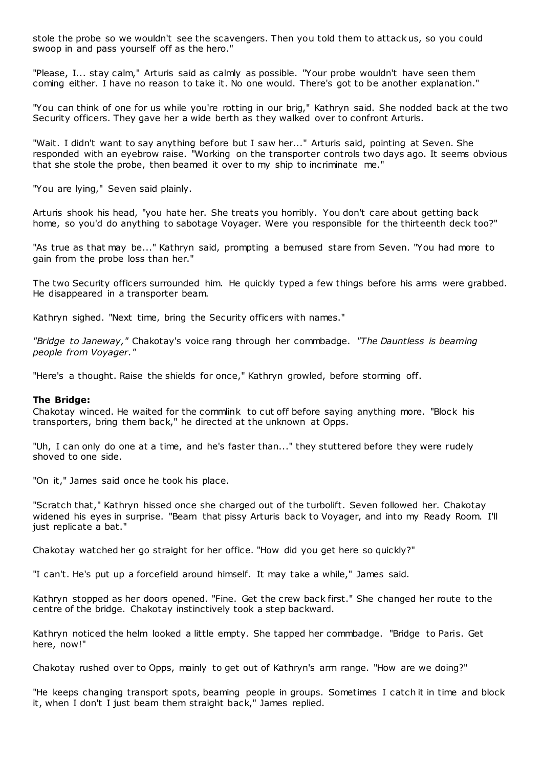stole the probe so we wouldn't see the scavengers. Then you told them to attack us, so you could swoop in and pass yourself off as the hero."

"Please, I... stay calm," Arturis said as calmly as possible. "Your probe wouldn't have seen them coming either. I have no reason to take it. No one would. There's got to be another explanation."

"You can think of one for us while you're rotting in our brig," Kathryn said. She nodded back at the two Security officers. They gave her a wide berth as they walked over to confront Arturis.

"Wait. I didn't want to say anything before but I saw her..." Arturis said, pointing at Seven. She responded with an eyebrow raise. "Working on the transporter controls two days ago. It seems obvious that she stole the probe, then beamed it over to my ship to incriminate me."

"You are lying," Seven said plainly.

Arturis shook his head, "you hate her. She treats you horribly. You don't care about getting back home, so you'd do anything to sabotage Voyager. Were you responsible for the thirteenth deck too?"

"As true as that may be..." Kathryn said, prompting a bemused stare from Seven. "You had more to gain from the probe loss than her."

The two Security officers surrounded him. He quickly typed a few things before his arms were grabbed. He disappeared in a transporter beam.

Kathryn sighed. "Next time, bring the Security officers with names."

*"Bridge to Janeway,"* Chakotay's voice rang through her commbadge. *"The Dauntless is beaming people from Voyager."*

"Here's a thought. Raise the shields for once," Kathryn growled, before storming off.

## **The Bridge:**

Chakotay winced. He waited for the commlink to cut off before saying anything more. "Block his transporters, bring them back," he directed at the unknown at Opps.

"Uh, I can only do one at a time, and he's faster than..." they stuttered before they were rudely shoved to one side.

"On it," James said once he took his place.

"Scratch that," Kathryn hissed once she charged out of the turbolift. Seven followed her. Chakotay widened his eyes in surprise. "Beam that pissy Arturis back to Voyager, and into my Ready Room. I'll just replicate a bat."

Chakotay watched her go straight for her office. "How did you get here so quickly?"

"I can't. He's put up a forcefield around himself. It may take a while," James said.

Kathryn stopped as her doors opened. "Fine. Get the crew back first." She changed her route to the centre of the bridge. Chakotay instinctively took a step backward.

Kathryn noticed the helm looked a little empty. She tapped her commbadge. "Bridge to Paris. Get here, now!"

Chakotay rushed over to Opps, mainly to get out of Kathryn's arm range. "How are we doing?"

"He keeps changing transport spots, beaming people in groups. Sometimes I catch it in time and block it, when I don't I just beam them straight back," James replied.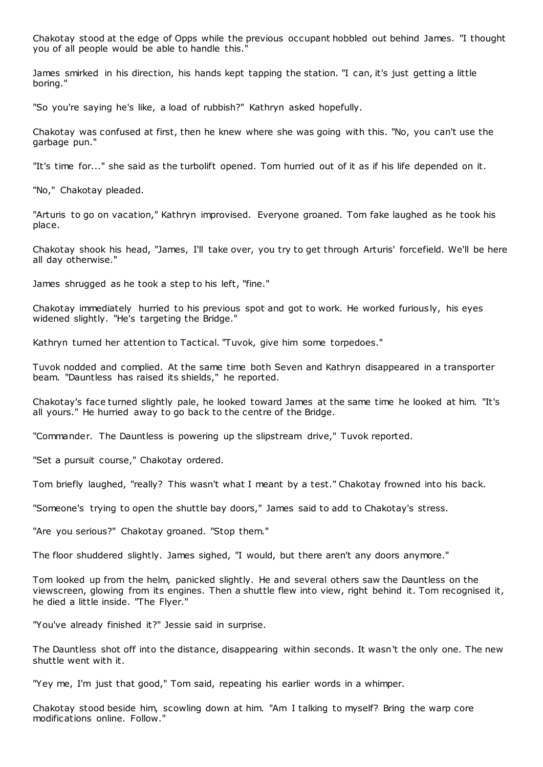Chakotay stood at the edge of Opps while the previous occupant hobbled out behind James. "I thought you of all people would be able to handle this."

James smirked in his direction, his hands kept tapping the station. "I can, it's just getting a little boring."

"So you're saying he's like, a load of rubbish?" Kathryn asked hopefully.

Chakotay was confused at first, then he knew where she was going with this. "No, you can't use the garbage pun."

"It's time for..." she said as the turbolift opened. Tom hurried out of it as if his life depended on it.

"No," Chakotay pleaded.

"Arturis to go on vacation," Kathryn improvised. Everyone groaned. Tom fake laughed as he took his place.

Chakotay shook his head, "James, I'll take over, you try to get through Arturis' forcefield. We'll be here all day otherwise."

James shrugged as he took a step to his left, "fine."

Chakotay immediately hurried to his previous spot and got to work. He worked furiously, his eyes widened slightly. "He's targeting the Bridge."

Kathryn turned her attention to Tactical. "Tuvok, give him some torpedoes."

Tuvok nodded and complied. At the same time both Seven and Kathryn disappeared in a transporter beam. "Dauntless has raised its shields," he reported.

Chakotay's face turned slightly pale, he looked toward James at the same time he looked at him. "It's all yours." He hurried away to go back to the centre of the Bridge.

"Commander. The Dauntless is powering up the slipstream drive," Tuvok reported.

"Set a pursuit course," Chakotay ordered.

Tom briefly laughed, "really? This wasn't what I meant by a test." Chakotay frowned into his back.

"Someone's trying to open the shuttle bay doors," James said to add to Chakotay's stress.

"Are you serious?" Chakotay groaned. "Stop them."

The floor shuddered slightly. James sighed, "I would, but there aren't any doors anymore."

Tom looked up from the helm, panicked slightly. He and several others saw the Dauntless on the viewscreen, glowing from its engines. Then a shuttle flew into view, right behind it. Tom recognised it, he died a little inside. "The Flyer."

"You've already finished it?" Jessie said in surprise.

The Dauntless shot off into the distance, disappearing within seconds. It wasn't the only one. The new shuttle went with it.

"Yey me, I'm just that good," Tom said, repeating his earlier words in a whimper.

Chakotay stood beside him, scowling down at him. "Am I talking to myself? Bring the warp core modifications online. Follow."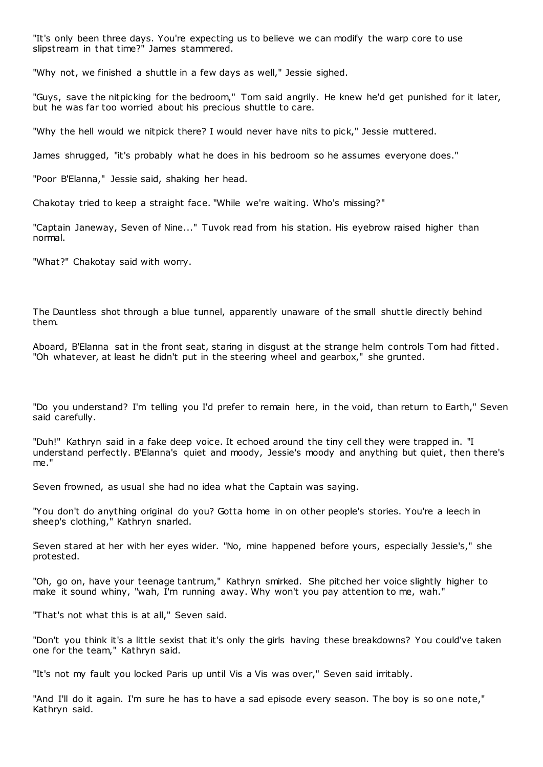"It's only been three days. You're expecting us to believe we can modify the warp core to use slipstream in that time?" James stammered.

"Why not, we finished a shuttle in a few days as well," Jessie sighed.

"Guys, save the nitpicking for the bedroom," Tom said angrily. He knew he'd get punished for it later, but he was far too worried about his precious shuttle to care.

"Why the hell would we nitpick there? I would never have nits to pick," Jessie muttered.

James shrugged, "it's probably what he does in his bedroom so he assumes everyone does."

"Poor B'Elanna," Jessie said, shaking her head.

Chakotay tried to keep a straight face. "While we're waiting. Who's missing?"

"Captain Janeway, Seven of Nine..." Tuvok read from his station. His eyebrow raised higher than normal.

"What?" Chakotay said with worry.

The Dauntless shot through a blue tunnel, apparently unaware of the small shuttle directly behind them.

Aboard, B'Elanna sat in the front seat, staring in disgust at the strange helm controls Tom had fitted. "Oh whatever, at least he didn't put in the steering wheel and gearbox," she grunted.

"Do you understand? I'm telling you I'd prefer to remain here, in the void, than return to Earth," Seven said carefully.

"Duh!" Kathryn said in a fake deep voice. It echoed around the tiny cell they were trapped in. "I understand perfectly. B'Elanna's quiet and moody, Jessie's moody and anything but quiet, then there's me."

Seven frowned, as usual she had no idea what the Captain was saying.

"You don't do anything original do you? Gotta home in on other people's stories. You're a leech in sheep's clothing," Kathryn snarled.

Seven stared at her with her eyes wider. "No, mine happened before yours, especially Jessie's," she protested.

"Oh, go on, have your teenage tantrum," Kathryn smirked. She pitched her voice slightly higher to make it sound whiny, "wah, I'm running away. Why won't you pay attention to me, wah."

"That's not what this is at all," Seven said.

"Don't you think it's a little sexist that it's only the girls having these breakdowns? You could've taken one for the team," Kathryn said.

"It's not my fault you locked Paris up until Vis a Vis was over," Seven said irritably.

"And I'll do it again. I'm sure he has to have a sad episode every season. The boy is so one note," Kathryn said.